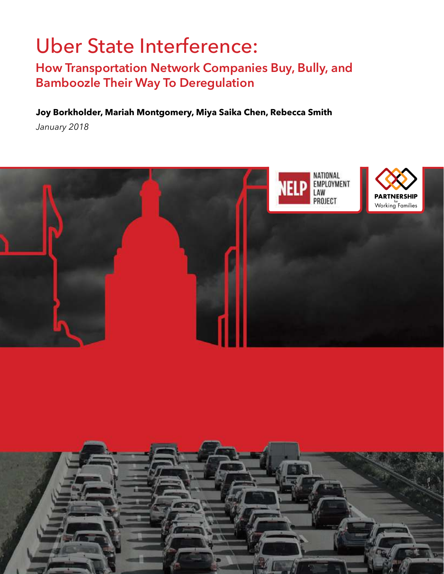# Uber State Interference:

## **How Transportation Network Companies Buy, Bully, and Bamboozle Their Way To Deregulation**

### **Joy Borkholder, Mariah Montgomery, Miya Saika Chen, Rebecca Smith**

*January 2018*

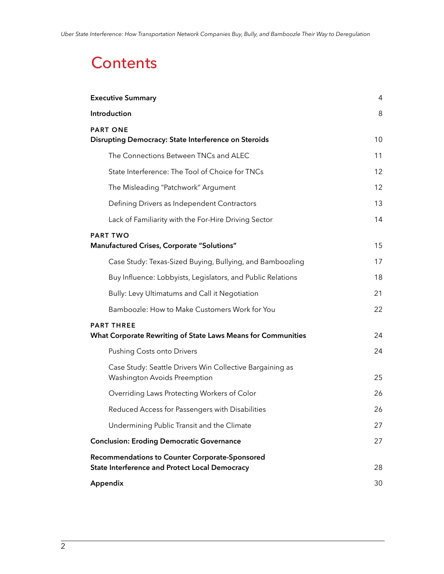## **Contents**

| <b>Executive Summary</b>                                                                                | 4  |
|---------------------------------------------------------------------------------------------------------|----|
| Introduction                                                                                            | 8  |
| <b>PART ONE</b><br>Disrupting Democracy: State Interference on Steroids                                 | 10 |
| The Connections Between TNCs and ALEC                                                                   | 11 |
| State Interference: The Tool of Choice for TNCs                                                         | 12 |
| The Misleading "Patchwork" Argument                                                                     | 12 |
| Defining Drivers as Independent Contractors                                                             | 13 |
| Lack of Familiarity with the For-Hire Driving Sector                                                    | 14 |
| <b>PART TWO</b><br>Manufactured Crises, Corporate "Solutions"                                           | 15 |
| Case Study: Texas-Sized Buying, Bullying, and Bamboozling                                               | 17 |
| Buy Influence: Lobbyists, Legislators, and Public Relations                                             | 18 |
| Bully: Levy Ultimatums and Call it Negotiation                                                          | 21 |
| Bamboozle: How to Make Customers Work for You                                                           | 22 |
| <b>PART THREE</b><br>What Corporate Rewriting of State Laws Means for Communities                       | 24 |
| <b>Pushing Costs onto Drivers</b>                                                                       | 24 |
| Case Study: Seattle Drivers Win Collective Bargaining as<br>Washington Avoids Preemption                | 25 |
| Overriding Laws Protecting Workers of Color                                                             | 26 |
| Reduced Access for Passengers with Disabilities                                                         | 26 |
| Undermining Public Transit and the Climate                                                              | 27 |
| <b>Conclusion: Eroding Democratic Governance</b>                                                        | 27 |
| Recommendations to Counter Corporate-Sponsored<br><b>State Interference and Protect Local Democracy</b> | 28 |
| Appendix                                                                                                | 30 |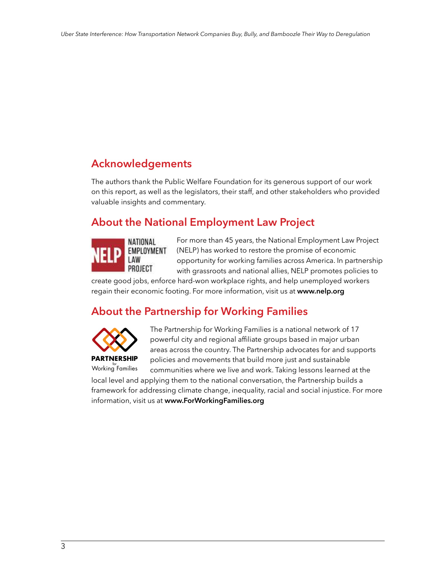## **Acknowledgements**

The authors thank the Public Welfare Foundation for its generous support of our work on this report, as well as the legislators, their staff, and other stakeholders who provided valuable insights and commentary.

## **About the National Employment Law Project**



For more than 45 years, the National Employment Law Project (NELP) has worked to restore the promise of economic opportunity for working families across America. In partnership with grassroots and national allies, NELP promotes policies to

create good jobs, enforce hard-won workplace rights, and help unemployed workers regain their economic footing. For more information, visit us at **[www.nelp.org](http://www.nelp.org.)**

## **About the Partnership for Working Families**



The Partnership for Working Families is a national network of 17 powerful city and regional affiliate groups based in major urban areas across the country. The Partnership advocates for and supports policies and movements that build more just and sustainable

communities where we live and work. Taking lessons learned at the local level and applying them to the national conversation, the Partnership builds a framework for addressing climate change, inequality, racial and social injustice. For more information, visit us at **[www.ForWorkingFamilies.org](http://www.ForWorkingFamilies.org)** for Working Families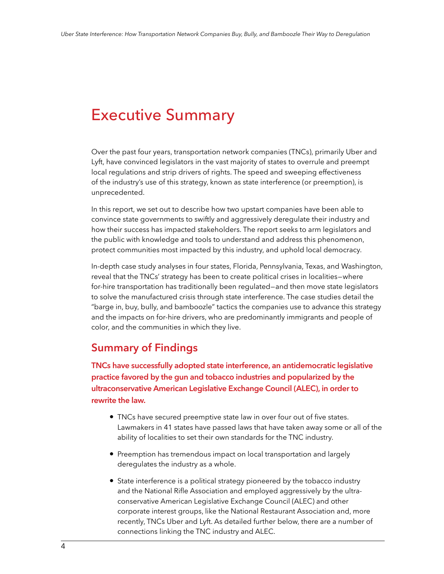## <span id="page-3-0"></span>Executive Summary

Over the past four years, transportation network companies (TNCs), primarily Uber and Lyft, have convinced legislators in the vast majority of states to overrule and preempt local regulations and strip drivers of rights. The speed and sweeping effectiveness of the industry's use of this strategy, known as state interference (or preemption), is unprecedented.

In this report, we set out to describe how two upstart companies have been able to convince state governments to swiftly and aggressively deregulate their industry and how their success has impacted stakeholders. The report seeks to arm legislators and the public with knowledge and tools to understand and address this phenomenon, protect communities most impacted by this industry, and uphold local democracy.

In-depth case study analyses in four states, Florida, Pennsylvania, Texas, and Washington, reveal that the TNCs' strategy has been to create political crises in localities—where for-hire transportation has traditionally been regulated—and then move state legislators to solve the manufactured crisis through state interference. The case studies detail the "barge in, buy, bully, and bamboozle" tactics the companies use to advance this strategy and the impacts on for-hire drivers, who are predominantly immigrants and people of color, and the communities in which they live.

### **Summary of Findings**

**TNCs have successfully adopted state interference, an antidemocratic legislative practice favored by the gun and tobacco industries and popularized by the ultraconservative American Legislative Exchange Council (ALEC), in order to rewrite the law.**

- TNCs have secured preemptive state law in over four out of five states. Lawmakers in 41 states have passed laws that have taken away some or all of the ability of localities to set their own standards for the TNC industry.
- Preemption has tremendous impact on local transportation and largely deregulates the industry as a whole.
- State interference is a political strategy pioneered by the tobacco industry and the National Rifle Association and employed aggressively by the ultraconservative American Legislative Exchange Council (ALEC) and other corporate interest groups, like the National Restaurant Association and, more recently, TNCs Uber and Lyft. As detailed further below, there are a number of connections linking the TNC industry and ALEC.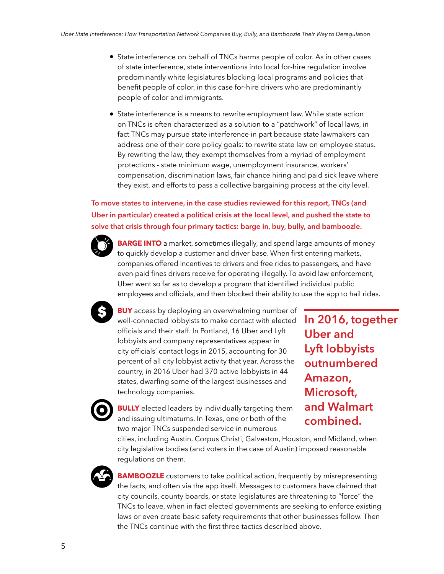- State interference on behalf of TNCs harms people of color. As in other cases of state interference, state interventions into local for-hire regulation involve predominantly white legislatures blocking local programs and policies that benefit people of color, in this case for-hire drivers who are predominantly people of color and immigrants.
- State interference is a means to rewrite employment law. While state action on TNCs is often characterized as a solution to a "patchwork" of local laws, in fact TNCs may pursue state interference in part because state lawmakers can address one of their core policy goals: to rewrite state law on employee status. By rewriting the law, they exempt themselves from a myriad of employment protections - state minimum wage, unemployment insurance, workers' compensation, discrimination laws, fair chance hiring and paid sick leave where they exist, and efforts to pass a collective bargaining process at the city level.

**To move states to intervene, in the case studies reviewed for this report, TNCs (and Uber in particular) created a political crisis at the local level, and pushed the state to solve that crisis through four primary tactics: barge in, buy, bully, and bamboozle.**



**BARGE INTO** a market, sometimes illegally, and spend large amounts of money to quickly develop a customer and driver base. When first entering markets, companies offered incentives to drivers and free rides to passengers, and have even paid fines drivers receive for operating illegally. To avoid law enforcement, Uber went so far as to develop a program that identified individual public employees and officials, and then blocked their ability to use the app to hail rides.



**BUY** access by deploying an overwhelming number of well-connected lobbyists to make contact with elected officials and their staff. In Portland, 16 Uber and Lyft lobbyists and company representatives appear in city officials' contact logs in 2015, accounting for 30 percent of all city lobbyist activity that year. Across the country, in 2016 Uber had 370 active lobbyists in 44 states, dwarfing some of the largest businesses and technology companies.

**In 2016, together Uber and Lyft lobbyists outnumbered Amazon, Microsoft, and Walmart combined.**

**BULLY** elected leaders by individually targeting them and issuing ultimatums. In Texas, one or both of the two major TNCs suspended service in numerous

cities, including Austin, Corpus Christi, Galveston, Houston, and Midland, when city legislative bodies (and voters in the case of Austin) imposed reasonable regulations on them.



**BAMBOOZLE** customers to take political action, frequently by misrepresenting the facts, and often via the app itself. Messages to customers have claimed that city councils, county boards, or state legislatures are threatening to "force" the TNCs to leave, when in fact elected governments are seeking to enforce existing laws or even create basic safety requirements that other businesses follow. Then the TNCs continue with the first three tactics described above.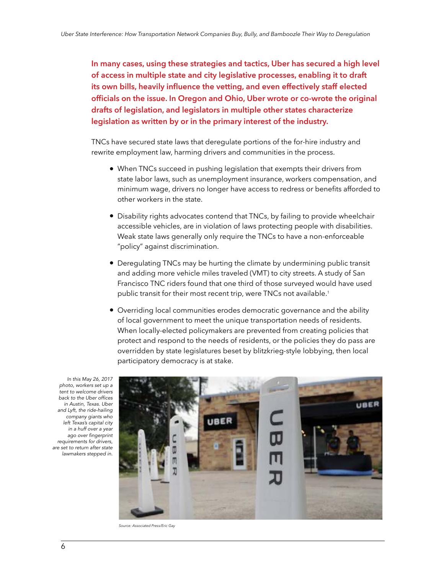**In many cases, using these strategies and tactics, Uber has secured a high level of access in multiple state and city legislative processes, enabling it to draft its own bills, heavily influence the vetting, and even effectively staff elected officials on the issue. In Oregon and Ohio, Uber wrote or co-wrote the original drafts of legislation, and legislators in multiple other states characterize legislation as written by or in the primary interest of the industry.**

TNCs have secured state laws that deregulate portions of the for-hire industry and rewrite employment law, harming drivers and communities in the process.

- When TNCs succeed in pushing legislation that exempts their drivers from state labor laws, such as unemployment insurance, workers compensation, and minimum wage, drivers no longer have access to redress or benefits afforded to other workers in the state.
- Disability rights advocates contend that TNCs, by failing to provide wheelchair accessible vehicles, are in violation of laws protecting people with disabilities. Weak state laws generally only require the TNCs to have a non-enforceable "policy" against discrimination.
- Deregulating TNCs may be hurting the climate by undermining public transit and adding more vehicle miles traveled (VMT) to city streets. A study of San Francisco TNC riders found that one third of those surveyed would have used public transit for their most recent trip, were TNCs not available.<sup>1</sup>
- Overriding local communities erodes democratic governance and the ability of local government to meet the unique transportation needs of residents. When locally-elected policymakers are prevented from creating policies that protect and respond to the needs of residents, or the policies they do pass are overridden by state legislatures beset by blitzkrieg-style lobbying, then local participatory democracy is at stake.



In this May 26, 2017 photo, workers set up a tent to welcome drivers back to the Uber offices in Austin, Texas. Uber and Lyft, the ride-hailing company giants who left Texas's capital city in a huff over a year ago over fingerprint requirements for drivers, are set to return after state lawmakers stepped in.

*Source: Associated Press/Eric Gay*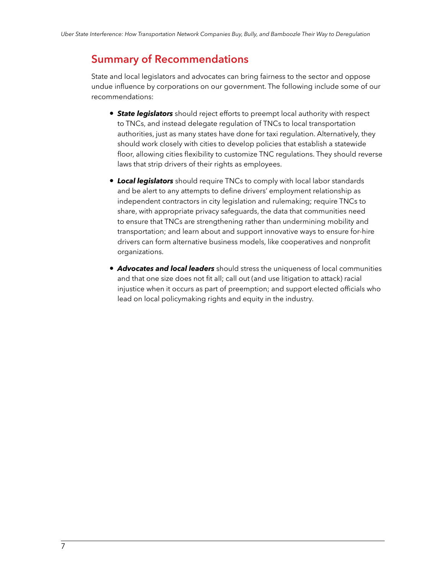### **Summary of Recommendations**

State and local legislators and advocates can bring fairness to the sector and oppose undue influence by corporations on our government. The following include some of our recommendations:

- *State legislators* should reject efforts to preempt local authority with respect to TNCs, and instead delegate regulation of TNCs to local transportation authorities, just as many states have done for taxi regulation. Alternatively, they should work closely with cities to develop policies that establish a statewide floor, allowing cities flexibility to customize TNC regulations. They should reverse laws that strip drivers of their rights as employees.
- *Local legislators* should require TNCs to comply with local labor standards and be alert to any attempts to define drivers' employment relationship as independent contractors in city legislation and rulemaking; require TNCs to share, with appropriate privacy safeguards, the data that communities need to ensure that TNCs are strengthening rather than undermining mobility and transportation; and learn about and support innovative ways to ensure for-hire drivers can form alternative business models, like cooperatives and nonprofit organizations.
- *Advocates and local leaders* should stress the uniqueness of local communities and that one size does not fit all; call out (and use litigation to attack) racial injustice when it occurs as part of preemption; and support elected officials who lead on local policymaking rights and equity in the industry.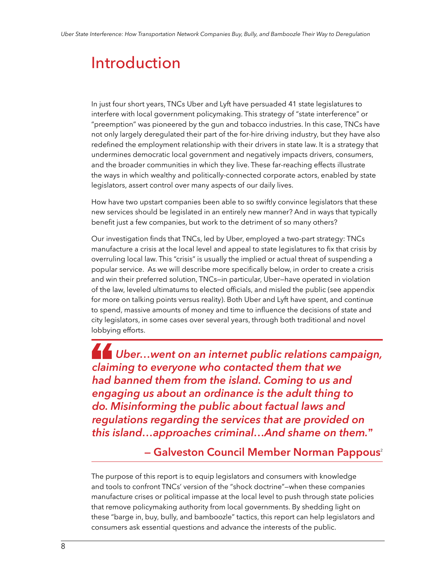## <span id="page-7-0"></span>Introduction

In just four short years, TNCs Uber and Lyft have persuaded 41 state legislatures to interfere with local government policymaking. This strategy of "state interference" or "preemption" was pioneered by the gun and tobacco industries. In this case, TNCs have not only largely deregulated their part of the for-hire driving industry, but they have also redefined the employment relationship with their drivers in state law. It is a strategy that undermines democratic local government and negatively impacts drivers, consumers, and the broader communities in which they live. These far-reaching effects illustrate the ways in which wealthy and politically-connected corporate actors, enabled by state legislators, assert control over many aspects of our daily lives.

How have two upstart companies been able to so swiftly convince legislators that these new services should be legislated in an entirely new manner? And in ways that typically benefit just a few companies, but work to the detriment of so many others?

Our investigation finds that TNCs, led by Uber, employed a two-part strategy: TNCs manufacture a crisis at the local level and appeal to state legislatures to fix that crisis by overruling local law. This "crisis" is usually the implied or actual threat of suspending a popular service. As we will describe more specifically below, in order to create a crisis and win their preferred solution, TNCs—in particular, Uber—have operated in violation of the law, leveled ultimatums to elected officials, and misled the public (see appendix for more on talking points versus reality). Both Uber and Lyft have spent, and continue to spend, massive amounts of money and time to influence the decisions of state and city legislators, in some cases over several years, through both traditional and novel lobbying efforts.

lobbyin<br> **Claim** *Uber…went on an internet public relations campaign, claiming to everyone who contacted them that we had banned them from the island. Coming to us and engaging us about an ordinance is the adult thing to do. Misinforming the public about factual laws and regulations regarding the services that are provided on this island…approaches criminal…And shame on them.*"

**— Galveston Council Member Norman Pappous**<sup>2</sup>

The purpose of this report is to equip legislators and consumers with knowledge and tools to confront TNCs' version of the "shock doctrine"—when these companies manufacture crises or political impasse at the local level to push through state policies that remove policymaking authority from local governments. By shedding light on these "barge in, buy, bully, and bamboozle" tactics, this report can help legislators and consumers ask essential questions and advance the interests of the public.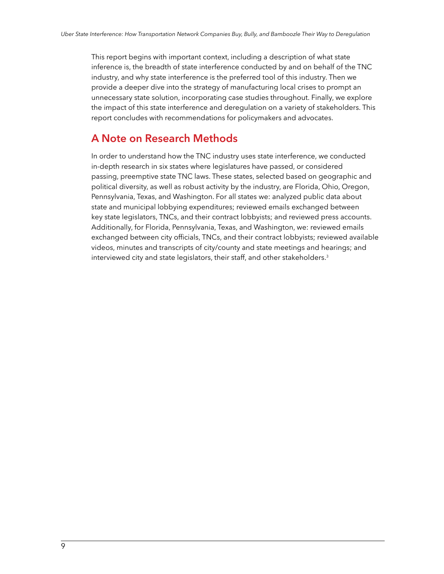This report begins with important context, including a description of what state inference is, the breadth of state interference conducted by and on behalf of the TNC industry, and why state interference is the preferred tool of this industry. Then we provide a deeper dive into the strategy of manufacturing local crises to prompt an unnecessary state solution, incorporating case studies throughout. Finally, we explore the impact of this state interference and deregulation on a variety of stakeholders. This report concludes with recommendations for policymakers and advocates.

### **A Note on Research Methods**

In order to understand how the TNC industry uses state interference, we conducted in-depth research in six states where legislatures have passed, or considered passing, preemptive state TNC laws. These states, selected based on geographic and political diversity, as well as robust activity by the industry, are Florida, Ohio, Oregon, Pennsylvania, Texas, and Washington. For all states we: analyzed public data about state and municipal lobbying expenditures; reviewed emails exchanged between key state legislators, TNCs, and their contract lobbyists; and reviewed press accounts. Additionally, for Florida, Pennsylvania, Texas, and Washington, we: reviewed emails exchanged between city officials, TNCs, and their contract lobbyists; reviewed available videos, minutes and transcripts of city/county and state meetings and hearings; and interviewed city and state legislators, their staff, and other stakeholders.<sup>3</sup>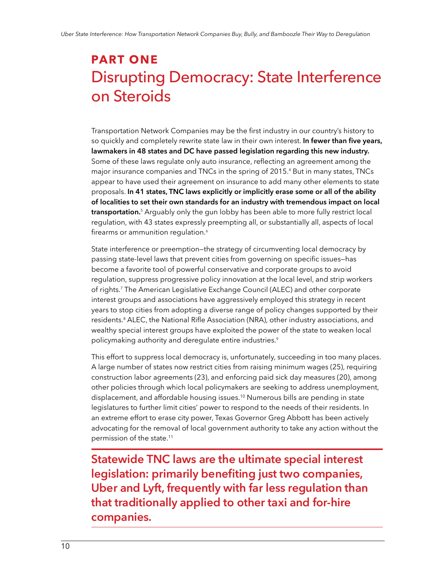## <span id="page-9-0"></span>**PART ONE**  Disrupting Democracy: State Interference on Steroids

Transportation Network Companies may be the first industry in our country's history to so quickly and completely rewrite state law in their own interest. **In fewer than five years, lawmakers in 48 states and DC have passed legislation regarding this new industry.**  Some of these laws regulate only auto insurance, reflecting an agreement among the major insurance companies and TNCs in the spring of 2015.<sup>4</sup> But in many states, TNCs appear to have used their agreement on insurance to add many other elements to state proposals. **In 41 states, TNC laws explicitly or implicitly erase some or all of the ability of localities to set their own standards for an industry with tremendous impact on local transportation.**<sup>5</sup> Arguably only the gun lobby has been able to more fully restrict local regulation, with 43 states expressly preempting all, or substantially all, aspects of local firearms or ammunition regulation.<sup>6</sup>

State interference or preemption—the strategy of circumventing local democracy by passing state-level laws that prevent cities from governing on specific issues—has become a favorite tool of powerful conservative and corporate groups to avoid regulation, suppress progressive policy innovation at the local level, and strip workers of rights.<sup>7</sup> The American Legislative Exchange Council (ALEC) and other corporate interest groups and associations have aggressively employed this strategy in recent years to stop cities from adopting a diverse range of policy changes supported by their residents.<sup>8</sup> ALEC, the National Rifle Association (NRA), other industry associations, and wealthy special interest groups have exploited the power of the state to weaken local policymaking authority and deregulate entire industries. $^{\circ}$ 

This effort to suppress local democracy is, unfortunately, succeeding in too many places. A large number of states now restrict cities from raising minimum wages (25), requiring construction labor agreements (23), and enforcing paid sick day measures (20), among other policies through which local policymakers are seeking to address unemployment, displacement, and affordable housing issues.<sup>10</sup> Numerous bills are pending in state legislatures to further limit cities' power to respond to the needs of their residents. In an extreme effort to erase city power, Texas Governor Greg Abbott has been actively advocating for the removal of local government authority to take any action without the permission of the state.<sup>11</sup>

**Statewide TNC laws are the ultimate special interest legislation: primarily benefiting just two companies, Uber and Lyft, frequently with far less regulation than that traditionally applied to other taxi and for-hire companies.**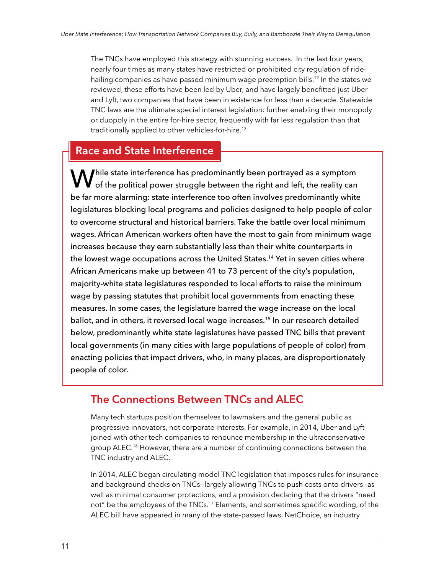<span id="page-10-0"></span>The TNCs have employed this strategy with stunning success. In the last four years, nearly four times as many states have restricted or prohibited city regulation of ridehailing companies as have passed minimum wage preemption bills.<sup>12</sup> In the states we reviewed, these efforts have been led by Uber, and have largely benefitted just Uber and Lyft, two companies that have been in existence for less than a decade. Statewide TNC laws are the ultimate special interest legislation: further enabling their monopoly or duopoly in the entire for-hire sector, frequently with far less regulation than that traditionally applied to other vehicles-for-hire.<sup>13</sup>

### **Race and State Interference**

 $\bf M$   $\bf f$ hile state interference has predominantly been portrayed as a symptom  $\blacktriangledown$  of the political power struggle between the right and left, the reality can be far more alarming: state interference too often involves predominantly white legislatures blocking local programs and policies designed to help people of color to overcome structural and historical barriers. Take the battle over local minimum wages. African American workers often have the most to gain from minimum wage increases because they earn substantially less than their white counterparts in the lowest wage occupations across the United States.<sup>14</sup> Yet in seven cities where African Americans make up between 41 to 73 percent of the city's population, majority-white state legislatures responded to local efforts to raise the minimum wage by passing statutes that prohibit local governments from enacting these measures. In some cases, the legislature barred the wage increase on the local ballot, and in others, it reversed local wage increases.<sup>15</sup> In our research detailed below, predominantly white state legislatures have passed TNC bills that prevent local governments (in many cities with large populations of people of color) from enacting policies that impact drivers, who, in many places, are disproportionately people of color.

### **The Connections Between TNCs and ALEC**

Many tech startups position themselves to lawmakers and the general public as progressive innovators, not corporate interests. For example, in 2014, Uber and Lyft joined with other tech companies to renounce membership in the ultraconservative group ALEC.<sup>16</sup> However, there are a number of continuing connections between the TNC industry and ALEC.

In 2014, ALEC began circulating model TNC legislation that imposes rules for insurance and background checks on TNCs—largely allowing TNCs to push costs onto drivers—as well as minimal consumer protections, and a provision declaring that the drivers "need not" be the employees of the TNCs.<sup>17</sup> Elements, and sometimes specific wording, of the ALEC bill have appeared in many of the state-passed laws. NetChoice, an industry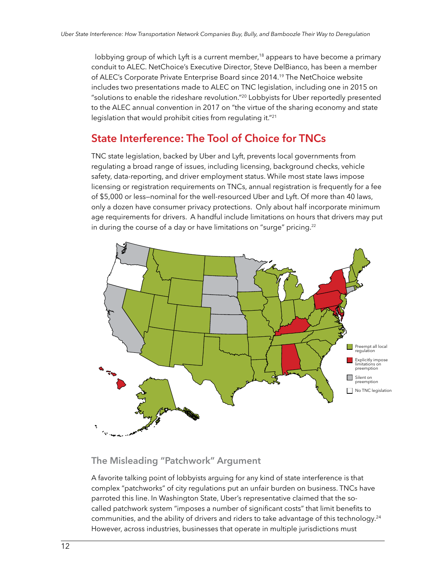<span id="page-11-0"></span>lobbying group of which Lyft is a current member,<sup>18</sup> appears to have become a primary conduit to ALEC. NetChoice's Executive Director, Steve DelBianco, has been a member of ALEC's Corporate Private Enterprise Board since 2014.<sup>19</sup> The NetChoice website includes two presentations made to ALEC on TNC legislation, including one in 2015 on "solutions to enable the rideshare revolution."<sup>20</sup> Lobbyists for Uber reportedly presented to the ALEC annual convention in 2017 on "the virtue of the sharing economy and state legislation that would prohibit cities from regulating it."<sup>21</sup>

### **State Interference: The Tool of Choice for TNCs**

TNC state legislation, backed by Uber and Lyft, prevents local governments from regulating a broad range of issues, including licensing, background checks, vehicle safety, data-reporting, and driver employment status. While most state laws impose licensing or registration requirements on TNCs, annual registration is frequently for a fee of \$5,000 or less—nominal for the well-resourced Uber and Lyft. Of more than 40 laws, only a dozen have consumer privacy protections. Only about half incorporate minimum age requirements for drivers. A handful include limitations on hours that drivers may put in during the course of a day or have limitations on "surge" pricing. $^{\scriptscriptstyle 22}$ 



### **The Misleading "Patchwork" Argument**

A favorite talking point of lobbyists arguing for any kind of state interference is that complex "patchworks" of city regulations put an unfair burden on business. TNCs have parroted this line. In Washington State, Uber's representative claimed that the socalled patchwork system "imposes a number of significant costs" that limit benefits to communities, and the ability of drivers and riders to take advantage of this technology.<sup>24</sup> However, across industries, businesses that operate in multiple jurisdictions must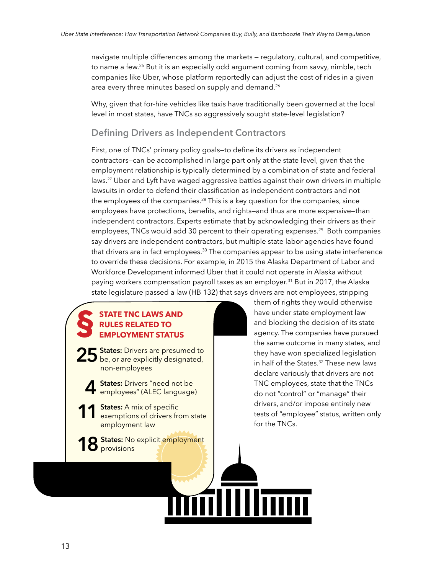<span id="page-12-0"></span>navigate multiple differences among the markets — regulatory, cultural, and competitive, to name a few.<sup>25</sup> But it is an especially odd argument coming from savvy, nimble, tech companies like Uber, whose platform reportedly can adjust the cost of rides in a given area every three minutes based on supply and demand.<sup>26</sup>

Why, given that for-hire vehicles like taxis have traditionally been governed at the local level in most states, have TNCs so aggressively sought state-level legislation?

#### **Defining Drivers as Independent Contractors**

First, one of TNCs' primary policy goals—to define its drivers as independent contractors—can be accomplished in large part only at the state level, given that the employment relationship is typically determined by a combination of state and federal laws.<sup>27</sup> Uber and Lyft have waged aggressive battles against their own drivers in multiple lawsuits in order to defend their classification as independent contractors and not the employees of the companies.<sup>28</sup> This is a key question for the companies, since employees have protections, benefits, and rights—and thus are more expensive—than independent contractors. Experts estimate that by acknowledging their drivers as their employees, TNCs would add 30 percent to their operating expenses.<sup>29</sup> Both companies say drivers are independent contractors, but multiple state labor agencies have found that drivers are in fact employees.<sup>30</sup> The companies appear to be using state interference to override these decisions. For example, in 2015 the Alaska Department of Labor and Workforce Development informed Uber that it could not operate in Alaska without paying workers compensation payroll taxes as an employer.<sup>31</sup> But in 2017, the Alaska state legislature passed a law (HB 132) that says drivers are not employees, stripping

H

IIImm

#### **§ STATE TNC LAWS AND RULES RELATED TO EMPLOYMENT STATUS**

**25 States:** Drivers are presumed to be, or are explicitly designated, non-employees

**4 States:** Drivers "need not be employees" (ALEC language)

**11 States:** A mix of specific exemptions of drivers from state employment law

**States: No explicit employment** provisions

them of rights they would otherwise have under state employment law and blocking the decision of its state agency. The companies have pursued the same outcome in many states, and they have won specialized legislation in half of the States.<sup>32</sup> These new laws declare variously that drivers are not TNC employees, state that the TNCs do not "control" or "manage" their drivers, and/or impose entirely new tests of "employee" status, written only for the TNCs.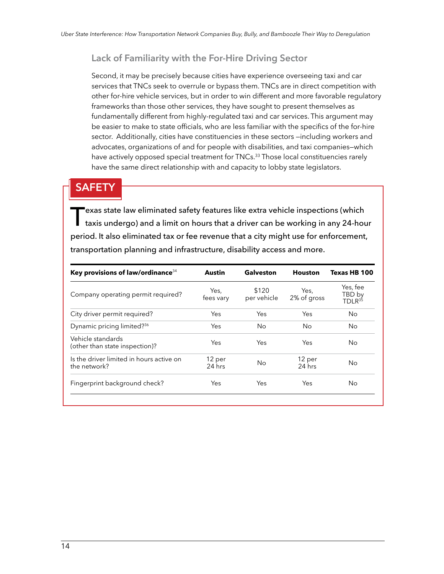#### <span id="page-13-0"></span>**Lack of Familiarity with the For-Hire Driving Sector**

Second, it may be precisely because cities have experience overseeing taxi and car services that TNCs seek to overrule or bypass them. TNCs are in direct competition with other for-hire vehicle services, but in order to win different and more favorable regulatory frameworks than those other services, they have sought to present themselves as fundamentally different from highly-regulated taxi and car services. This argument may be easier to make to state officials, who are less familiar with the specifics of the for-hire sector. Additionally, cities have constituencies in these sectors —including workers and advocates, organizations of and for people with disabilities, and taxi companies—which have actively opposed special treatment for TNCs.<sup>33</sup> Those local constituencies rarely have the same direct relationship with and capacity to lobby state legislators.

### **SAFETY**

T exas state law eliminated safety features like extra vehicle inspections (which taxis undergo) and a limit on hours that a driver can be working in any 24-hour period. It also eliminated tax or fee revenue that a city might use for enforcement, transportation planning and infrastructure, disability access and more.

| Key provisions of law/ordinance <sup>34</sup>            | <b>Austin</b>      | Galveston            | <b>Houston</b>      | Texas HB 100                             |
|----------------------------------------------------------|--------------------|----------------------|---------------------|------------------------------------------|
| Company operating permit required?                       | Yes,<br>fees vary  | \$120<br>per vehicle | Yes,<br>2% of gross | Yes, fee<br>TBD by<br>TDLR <sup>35</sup> |
| City driver permit required?                             | Yes                | Yes                  | Yes                 | <b>No</b>                                |
| Dynamic pricing limited? <sup>36</sup>                   | Yes                | No                   | No                  | No.                                      |
| Vehicle standards<br>(other than state inspection)?      | Yes                | Yes                  | Yes                 | No.                                      |
| Is the driver limited in hours active on<br>the network? | 12 per<br>$24$ hrs | <b>No</b>            | 12 per<br>$24$ hrs  | No.                                      |
| Fingerprint background check?                            | Yes                | Yes                  | Yes                 | N <sub>o</sub>                           |
|                                                          |                    |                      |                     |                                          |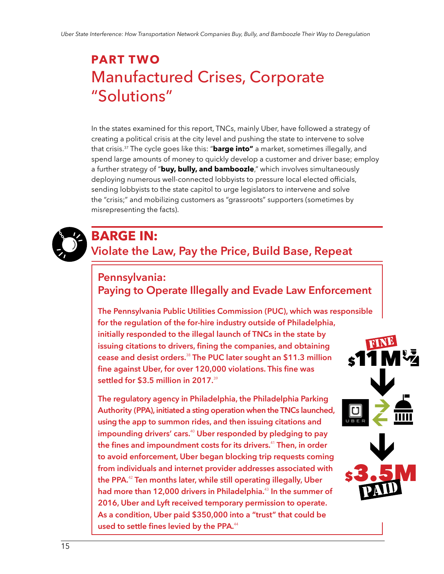## <span id="page-14-0"></span>**PART TWO** Manufactured Crises, Corporate "Solutions"

In the states examined for this report, TNCs, mainly Uber, have followed a strategy of creating a political crisis at the city level and pushing the state to intervene to solve that crisis.<sup>37</sup> The cycle goes like this: "**barge into"** a market, sometimes illegally, and spend large amounts of money to quickly develop a customer and driver base; employ a further strategy of "**buy, bully, and bamboozle**," which involves simultaneously deploying numerous well-connected lobbyists to pressure local elected officials, sending lobbyists to the state capitol to urge legislators to intervene and solve the "crisis;" and mobilizing customers as "grassroots" supporters (sometimes by misrepresenting the facts).



## **BARGE IN:**

## **Violate the Law, Pay the Price, Build Base, Repeat**

## **Pennsylvania: Paying to Operate Illegally and Evade Law Enforcement**

**The Pennsylvania Public Utilities Commission (PUC), which was responsible for the regulation of the for-hire industry outside of Philadelphia, initially responded to the illegal launch of TNCs in the state by issuing citations to drivers, fining the companies, and obtaining cease and desist orders.**<sup>38</sup> **The PUC later sought an \$11.3 million fine against Uber, for over 120,000 violations. This fine was settled for \$3.5 million in 2017.**<sup>39</sup>

**The regulatory agency in Philadelphia, the Philadelphia Parking Authority (PPA), initiated a sting operation when the TNCs launched, using the app to summon rides, and then issuing citations and impounding drivers' cars.**<sup>40</sup> **Uber responded by pledging to pay the fines and impoundment costs for its drivers.**<sup>41</sup> **Then, in order to avoid enforcement, Uber began blocking trip requests coming from individuals and internet provider addresses associated with the PPA.**<sup>42</sup> **Ten months later, while still operating illegally, Uber had more than 12,000 drivers in Philadelphia.**<sup>43</sup> **In the summer of 2016, Uber and Lyft received temporary permission to operate. As a condition, Uber paid \$350,000 into a "trust" that could be used to settle fines levied by the PPA.**<sup>44</sup>

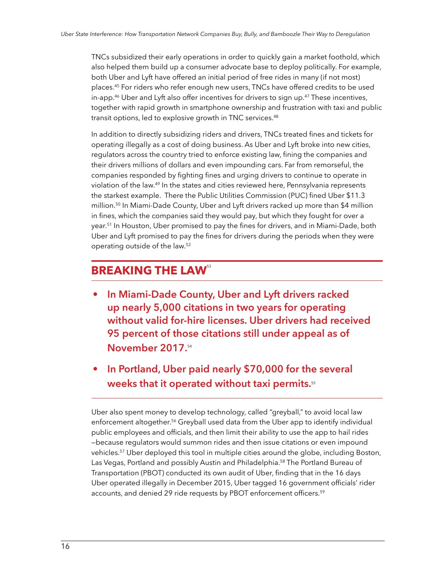TNCs subsidized their early operations in order to quickly gain a market foothold, which also helped them build up a consumer advocate base to deploy politically. For example, both Uber and Lyft have offered an initial period of free rides in many (if not most) places.<sup>45</sup> For riders who refer enough new users, TNCs have offered credits to be used in-app.<sup>46</sup> Uber and Lyft also offer incentives for drivers to sign up.<sup>47</sup> These incentives, together with rapid growth in smartphone ownership and frustration with taxi and public transit options, led to explosive growth in TNC services.<sup>48</sup>

In addition to directly subsidizing riders and drivers, TNCs treated fines and tickets for operating illegally as a cost of doing business. As Uber and Lyft broke into new cities, regulators across the country tried to enforce existing law, fining the companies and their drivers millions of dollars and even impounding cars. Far from remorseful, the companies responded by fighting fines and urging drivers to continue to operate in violation of the law.<sup>49</sup> In the states and cities reviewed here, Pennsylvania represents the starkest example. There the Public Utilities Commission (PUC) fined Uber \$11.3 million.<sup>50</sup> In Miami-Dade County, Uber and Lyft drivers racked up more than \$4 million in fines, which the companies said they would pay, but which they fought for over a year.<sup>51</sup> In Houston, Uber promised to pay the fines for drivers, and in Miami-Dade, both Uber and Lyft promised to pay the fines for drivers during the periods when they were operating outside of the law.<sup>52</sup>

## **BREAKING THE LAW<sup>53</sup>**

- **In Miami-Dade County, Uber and Lyft drivers racked up nearly 5,000 citations in two years for operating without valid for-hire licenses. Uber drivers had received 95 percent of those citations still under appeal as of November 2017.**<sup>54</sup>
- **In Portland, Uber paid nearly \$70,000 for the several weeks that it operated without taxi permits.**<sup>55</sup>

Uber also spent money to develop technology, called "greyball," to avoid local law enforcement altogether.<sup>56</sup> Greyball used data from the Uber app to identify individual public employees and officials, and then limit their ability to use the app to hail rides —because regulators would summon rides and then issue citations or even impound vehicles.<sup>57</sup> Uber deployed this tool in multiple cities around the globe, including Boston, Las Vegas, Portland and possibly Austin and Philadelphia.<sup>58</sup> The Portland Bureau of Transportation (PBOT) conducted its own audit of Uber, finding that in the 16 days Uber operated illegally in December 2015, Uber tagged 16 government officials' rider accounts, and denied 29 ride requests by PBOT enforcement officers.<sup>59</sup>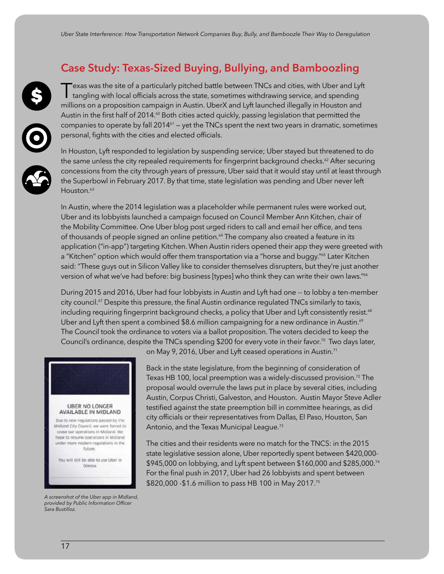### <span id="page-16-0"></span>**Case Study: Texas-Sized Buying, Bullying, and Bamboozling**

Texas was the site of a particularly pitched battle between TNCs and cities, with Uber and Ly<br>tangling with local officials across the state, sometimes withdrawing service, and spending exas was the site of a particularly pitched battle between TNCs and cities, with Uber and Lyft millions on a proposition campaign in Austin. UberX and Lyft launched illegally in Houston and Austin in the first half of 2014.<sup>60</sup> Both cities acted quickly, passing legislation that permitted the companies to operate by fall 2014<sup>61</sup> – yet the TNCs spent the next two years in dramatic, sometimes personal, fights with the cities and elected officials.

In Houston, Lyft responded to legislation by suspending service; Uber stayed but threatened to do the same unless the city repealed requirements for fingerprint background checks.<sup>62</sup> After securing concessions from the city through years of pressure, Uber said that it would stay until at least through the Superbowl in February 2017. By that time, state legislation was pending and Uber never left Houston.<sup>63</sup>

In Austin, where the 2014 legislation was a placeholder while permanent rules were worked out, Uber and its lobbyists launched a campaign focused on Council Member Ann Kitchen, chair of the Mobility Committee. One Uber blog post urged riders to call and email her office, and tens of thousands of people signed an online petition.<sup>64</sup> The company also created a feature in its application ("in-app") targeting Kitchen. When Austin riders opened their app they were greeted with a "Kitchen" option which would offer them transportation via a "horse and buggy."<sup>65</sup> Later Kitchen said: "These guys out in Silicon Valley like to consider themselves disrupters, but they're just another version of what we've had before: big business [types] who think they can write their own laws."<sup>66</sup>

During 2015 and 2016, Uber had four lobbyists in Austin and Lyft had one -- to lobby a ten-member city council.<sup>67</sup> Despite this pressure, the final Austin ordinance regulated TNCs similarly to taxis, including requiring fingerprint background checks, a policy that Uber and Lyft consistently resist.<sup>68</sup> Uber and Lyft then spent a combined \$8.6 million campaigning for a new ordinance in Austin.<sup>69</sup> The Council took the ordinance to voters via a ballot proposition. The voters decided to keep the Council's ordinance, despite the TNCs spending \$200 for every vote in their favor.<sup>70</sup> Two days later,



*A screenshot of the Uber app in Midland, provided by Public Information Officer Sara Bustilloz.*

on May 9, 2016, Uber and Lyft ceased operations in Austin.<sup>71</sup>

Back in the state legislature, from the beginning of consideration of Texas HB 100, local preemption was a widely-discussed provision.<sup>72</sup> The proposal would overrule the laws put in place by several cities, including Austin, Corpus Christi, Galveston, and Houston. Austin Mayor Steve Adler testified against the state preemption bill in committee hearings, as did city officials or their representatives from Dallas, El Paso, Houston, San Antonio, and the Texas Municipal League.<sup>73</sup>

The cities and their residents were no match for the TNCS: in the 2015 state legislative session alone, Uber reportedly spent between \$420,000- \$945,000 on lobbying, and Lyft spent between \$160,000 and \$285,000.<sup>74</sup> For the final push in 2017, Uber had 26 lobbyists and spent between \$820,000 -\$1.6 million to pass HB 100 in May 2017.<sup>75</sup>

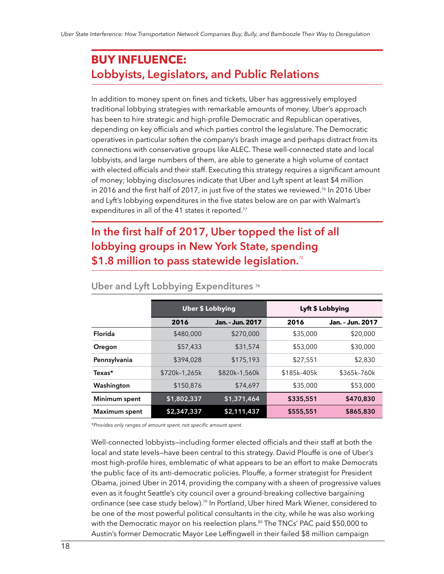## <span id="page-17-0"></span>**BUY INFLUENCE: Lobbyists, Legislators, and Public Relations**

In addition to money spent on fines and tickets, Uber has aggressively employed traditional lobbying strategies with remarkable amounts of money. Uber's approach has been to hire strategic and high-profile Democratic and Republican operatives, depending on key officials and which parties control the legislature. The Democratic operatives in particular soften the company's brash image and perhaps distract from its connections with conservative groups like ALEC. These well-connected state and local lobbyists, and large numbers of them, are able to generate a high volume of contact with elected officials and their staff. Executing this strategy requires a significant amount of money; lobbying disclosures indicate that Uber and Lyft spent at least \$4 million in 2016 and the first half of 2017, in just five of the states we reviewed.<sup>76</sup> In 2016 Uber and Lyft's lobbying expenditures in the five states below are on par with Walmart's expenditures in all of the 41 states it reported.<sup>77</sup>

## **In the first half of 2017, Uber topped the list of all lobbying groups in New York State, spending \$1.8 million to pass statewide legislation.**<sup>78</sup>

|                      | <b>Uber \$ Lobbying</b> |                  | Lyft \$ Lobbying |                  |
|----------------------|-------------------------|------------------|------------------|------------------|
|                      | 2016                    | Jan. - Jun. 2017 | 2016             | Jan. - Jun. 2017 |
| Florida              | \$480,000               | \$270,000        | \$35,000         | \$20,000         |
| Oregon               | \$57,433                | \$31,574         | \$53,000         | \$30,000         |
| Pennsylvania         | \$394,028               | \$175,193        | \$27,551         | \$2,830          |
| Texas*               | \$720k-1,265k           | \$820k-1.560k    | \$185k-405k      | \$365k-760k      |
| Washington           | \$150,876               | \$74,697         | \$35,000         | \$53,000         |
| Minimum spent        | \$1,802,337             | \$1,371,464      | \$335,551        | \$470,830        |
| <b>Maximum spent</b> | \$2,347,337             | \$2,111,437      | \$555,551        | \$865,830        |

#### **Uber and Lyft Lobbying Expenditures** <sup>76</sup>

*\*Provides only ranges of amount spent, not specific amount spent.*

Well-connected lobbyists—including former elected officials and their staff at both the local and state levels—have been central to this strategy. David Plouffe is one of Uber's most high-profile hires, emblematic of what appears to be an effort to make Democrats the public face of its anti-democratic policies. Plouffe, a former strategist for President Obama, joined Uber in 2014, providing the company with a sheen of progressive values even as it fought Seattle's city council over a ground-breaking collective bargaining ordinance (see case study below).<sup>79</sup> In Portland, Uber hired Mark Wiener, considered to be one of the most powerful political consultants in the city, while he was also working with the Democratic mayor on his reelection plans.<sup>80</sup> The TNCs' PAC paid \$50,000 to Austin's former Democratic Mayor Lee Leffingwell in their failed \$8 million campaign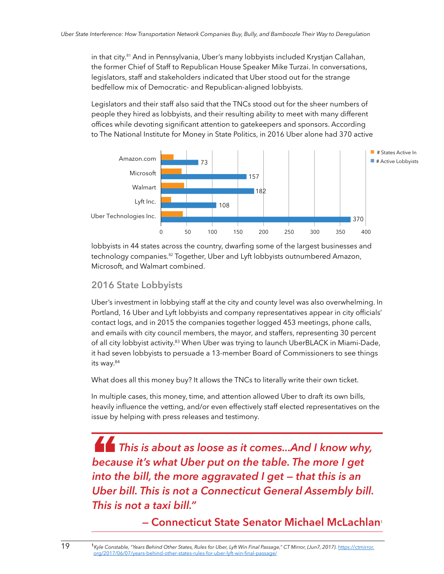in that city.81 And in Pennsylvania, Uber's many lobbyists included Krystjan Callahan, the former Chief of Staff to Republican House Speaker Mike Turzai. In conversations, legislators, staff and stakeholders indicated that Uber stood out for the strange bedfellow mix of Democratic- and Republican-aligned lobbyists.

Legislators and their staff also said that the TNCs stood out for the sheer numbers of people they hired as lobbyists, and their resulting ability to meet with many different offices while devoting significant attention to gatekeepers and sponsors. According to The National Institute for Money in State Politics, in 2016 Uber alone had 370 active



lobbyists in 44 states across the country, dwarfing some of the largest businesses and technology companies.82 Together, Uber and Lyft lobbyists outnumbered Amazon, Microsoft, and Walmart combined.

#### **2016 State Lobbyists**

Uber's investment in lobbying staff at the city and county level was also overwhelming. In Portland, 16 Uber and Lyft lobbyists and company representatives appear in city officials' contact logs, and in 2015 the companies together logged 453 meetings, phone calls, and emails with city council members, the mayor, and staffers, representing 30 percent of all city lobbyist activity.<sup>83</sup> When Uber was trying to launch UberBLACK in Miami-Dade, it had seven lobbyists to persuade a 13-member Board of Commissioners to see things its way.<sup>84</sup>

What does all this money buy? It allows the TNCs to literally write their own ticket.

In multiple cases, this money, time, and attention allowed Uber to draft its own bills, heavily influence the vetting, and/or even effectively staff elected representatives on the issue by helping with press releases and testimony.

" *This is about as loose as it comes...And I know why, because it's what Uber put on the table. The more I get into the bill, the more aggravated I get — that this is an Uber bill. This is not a Connecticut General Assembly bill. This is not a taxi bill."* 

**— Connecticut State Senator Michael McLachlan**<sup>1</sup>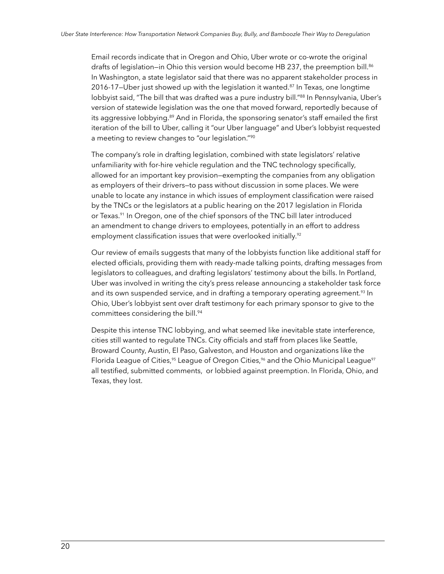Email records indicate that in Oregon and Ohio, Uber wrote or co-wrote the original drafts of legislation–in Ohio this version would become HB 237, the preemption bill.<sup>86</sup> In Washington, a state legislator said that there was no apparent stakeholder process in 2016-17-Uber just showed up with the legislation it wanted. $87$  In Texas, one longtime lobbyist said, "The bill that was drafted was a pure industry bill."<sup>88</sup> In Pennsylvania, Uber's version of statewide legislation was the one that moved forward, reportedly because of its aggressive lobbying.<sup>89</sup> And in Florida, the sponsoring senator's staff emailed the first iteration of the bill to Uber, calling it "our Uber language" and Uber's lobbyist requested a meeting to review changes to "our legislation."<sup>90</sup>

The company's role in drafting legislation, combined with state legislators' relative unfamiliarity with for-hire vehicle regulation and the TNC technology specifically, allowed for an important key provision—exempting the companies from any obligation as employers of their drivers—to pass without discussion in some places. We were unable to locate any instance in which issues of employment classification were raised by the TNCs or the legislators at a public hearing on the 2017 legislation in Florida or Texas.<sup>91</sup> In Oregon, one of the chief sponsors of the TNC bill later introduced an amendment to change drivers to employees, potentially in an effort to address employment classification issues that were overlooked initially.<sup>92</sup>

Our review of emails suggests that many of the lobbyists function like additional staff for elected officials, providing them with ready-made talking points, drafting messages from legislators to colleagues, and drafting legislators' testimony about the bills. In Portland, Uber was involved in writing the city's press release announcing a stakeholder task force and its own suspended service, and in drafting a temporary operating agreement.<sup>93</sup> In Ohio, Uber's lobbyist sent over draft testimony for each primary sponsor to give to the committees considering the bill.<sup>94</sup>

Despite this intense TNC lobbying, and what seemed like inevitable state interference, cities still wanted to regulate TNCs. City officials and staff from places like Seattle, Broward County, Austin, El Paso, Galveston, and Houston and organizations like the Florida League of Cities,<sup>95</sup> League of Oregon Cities,<sup>96</sup> and the Ohio Municipal League<sup>97</sup> all testified, submitted comments, or lobbied against preemption. In Florida, Ohio, and Texas, they lost.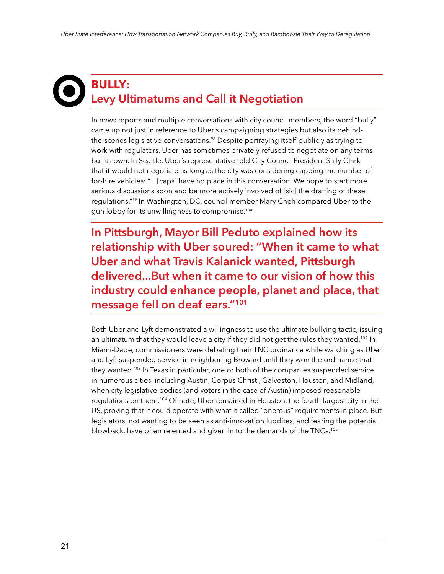## <span id="page-20-0"></span>**BULLY: Levy Ultimatums and Call it Negotiation**

In news reports and multiple conversations with city council members, the word "bully" came up not just in reference to Uber's campaigning strategies but also its behindthe-scenes legislative conversations.<sup>98</sup> Despite portraying itself publicly as trying to work with regulators, Uber has sometimes privately refused to negotiate on any terms but its own. In Seattle, Uber's representative told City Council President Sally Clark that it would not negotiate as long as the city was considering capping the number of for-hire vehicles: "…[caps] have no place in this conversation. We hope to start more serious discussions soon and be more actively involved of [sic] the drafting of these regulations."<sup>99</sup> In Washington, DC, council member Mary Cheh compared Uber to the gun lobby for its unwillingness to compromise.<sup>100</sup>

**In Pittsburgh, Mayor Bill Peduto explained how its relationship with Uber soured: "When it came to what Uber and what Travis Kalanick wanted, Pittsburgh delivered...But when it came to our vision of how this industry could enhance people, planet and place, that message fell on deaf ears."<sup>101</sup>**

Both Uber and Lyft demonstrated a willingness to use the ultimate bullying tactic, issuing an ultimatum that they would leave a city if they did not get the rules they wanted.<sup>102</sup> In Miami-Dade, commissioners were debating their TNC ordinance while watching as Uber and Lyft suspended service in neighboring Broward until they won the ordinance that they wanted.<sup>103</sup> In Texas in particular, one or both of the companies suspended service in numerous cities, including Austin, Corpus Christi, Galveston, Houston, and Midland, when city legislative bodies (and voters in the case of Austin) imposed reasonable regulations on them.<sup>104</sup> Of note, Uber remained in Houston, the fourth largest city in the US, proving that it could operate with what it called "onerous" requirements in place. But legislators, not wanting to be seen as anti-innovation luddites, and fearing the potential blowback, have often relented and given in to the demands of the TNCs.105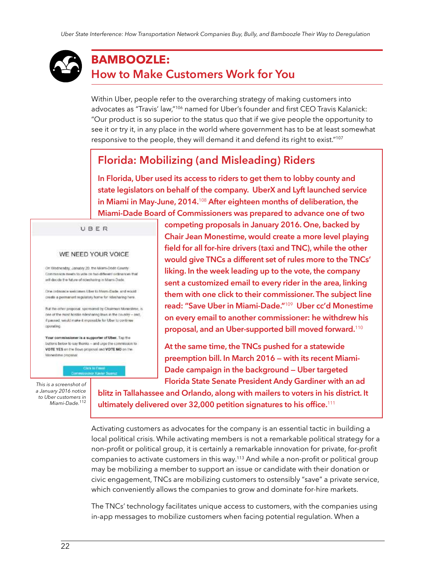## <span id="page-21-0"></span>**BAMBOOZLE: How to Make Customers Work for You**

Within Uber, people refer to the overarching strategy of making customers into advocates as "Travis' law,"<sup>106</sup> named for Uber's founder and first CEO Travis Kalanick: "Our product is so superior to the status quo that if we give people the opportunity to see it or try it, in any place in the world where government has to be at least somewhat responsive to the people, they will demand it and defend its right to exist."<sup>107</sup>

## **Florida: Mobilizing (and Misleading) Riders**

**In Florida, Uber used its access to riders to get them to lobby county and state legislators on behalf of the company. UberX and Lyft launched service in Miami in May-June, 2014.**<sup>108</sup> **After eighteen months of deliberation, the Miami-Dade Board of Commissioners was prepared to advance one of two** 

UBER

#### WE NEED YOUR VOICE

On Wednesday, Jacubry 20, the Miami-Dodd County-Commission meets to yote on two different ordinances that will decide the future of ridesharing in Miami-Dade.

Dow ordinance welcomes tiber to Memi-Dade, and would create a permanent requisiony home for refesharing here.

But the other proposal, sportrated by Chairman Monestime, is coe of the most bostile ridesharing liters in the country - and. if passed, would make it impossible for Uber to continue opinating.

Your commissioner is a supporter of Uber. Tap the buttons below to say thanks - and urge the commission to VOTE YES on the Bowo proposal and VOTE NO on the Monestime proposel

*This is a screenshot of a January 2016 notice to Uber customers in Miami-Dade.*<sup>112</sup> **competing proposals in January 2016. One, backed by Chair Jean Monestime, would create a more level playing field for all for-hire drivers (taxi and TNC), while the other would give TNCs a different set of rules more to the TNCs' liking. In the week leading up to the vote, the company sent a customized email to every rider in the area, linking them with one click to their commissioner. The subject line read: "Save Uber in Miami-Dade."**<sup>109</sup> **Uber cc'd Monestime on every email to another commissioner: he withdrew his proposal, and an Uber-supported bill moved forward.**<sup>110</sup>

**At the same time, the TNCs pushed for a statewide preemption bill. In March 2016 — with its recent Miami-Dade campaign in the background — Uber targeted Florida State Senate President Andy Gardiner with an ad** 

**blitz in Tallahassee and Orlando, along with mailers to voters in his district. It ultimately delivered over 32,000 petition signatures to his office.**<sup>111</sup> 

Activating customers as advocates for the company is an essential tactic in building a local political crisis. While activating members is not a remarkable political strategy for a non-profit or political group, it is certainly a remarkable innovation for private, for-profit companies to activate customers in this way.<sup>113</sup> And while a non-profit or political group may be mobilizing a member to support an issue or candidate with their donation or civic engagement, TNCs are mobilizing customers to ostensibly "save" a private service, which conveniently allows the companies to grow and dominate for-hire markets.

The TNCs' technology facilitates unique access to customers, with the companies using in-app messages to mobilize customers when facing potential regulation. When a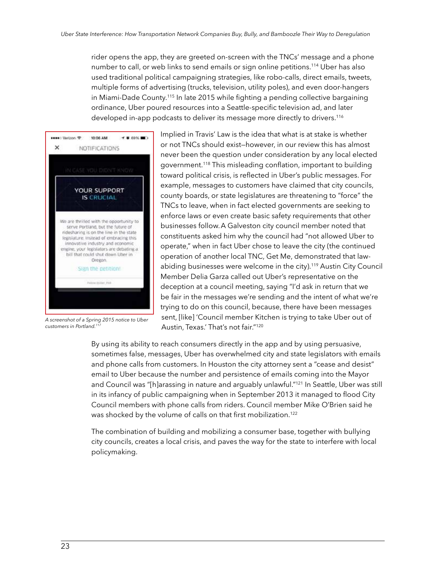rider opens the app, they are greeted on-screen with the TNCs' message and a phone number to call, or web links to send emails or sign online petitions.<sup>114</sup> Uber has also used traditional political campaigning strategies, like robo-calls, direct emails, tweets, multiple forms of advertising (trucks, television, utility poles), and even door-hangers in Miami-Dade County.<sup>115</sup> In late 2015 while fighting a pending collective bargaining ordinance, Uber poured resources into a Seattle-specific television ad, and later developed in-app podcasts to deliver its message more directly to drivers.<sup>116</sup>



*A screenshot of a Spring 2015 notice to Uber customers in Portland.117*

Implied in Travis' Law is the idea that what is at stake is whether or not TNCs should exist—however, in our review this has almost never been the question under consideration by any local elected government.<sup>118</sup> This misleading conflation, important to building toward political crisis, is reflected in Uber's public messages. For example, messages to customers have claimed that city councils, county boards, or state legislatures are threatening to "force" the TNCs to leave, when in fact elected governments are seeking to enforce laws or even create basic safety requirements that other businesses follow.A Galveston city council member noted that constituents asked him why the council had "not allowed Uber to operate," when in fact Uber chose to leave the city (the continued operation of another local TNC, Get Me, demonstrated that lawabiding businesses were welcome in the city).<sup>119</sup> Austin City Council Member Delia Garza called out Uber's representative on the deception at a council meeting, saying "I'd ask in return that we be fair in the messages we're sending and the intent of what we're trying to do on this council, because, there have been messages sent, [like] 'Council member Kitchen is trying to take Uber out of Austin, Texas.' That's not fair."<sup>120</sup>

By using its ability to reach consumers directly in the app and by using persuasive, sometimes false, messages, Uber has overwhelmed city and state legislators with emails and phone calls from customers. In Houston the city attorney sent a "cease and desist" email to Uber because the number and persistence of emails coming into the Mayor and Council was "[h]arassing in nature and arguably unlawful."<sup>121</sup> In Seattle, Uber was still in its infancy of public campaigning when in September 2013 it managed to flood City Council members with phone calls from riders. Council member Mike O'Brien said he was shocked by the volume of calls on that first mobilization.<sup>122</sup>

The combination of building and mobilizing a consumer base, together with bullying city councils, creates a local crisis, and paves the way for the state to interfere with local policymaking.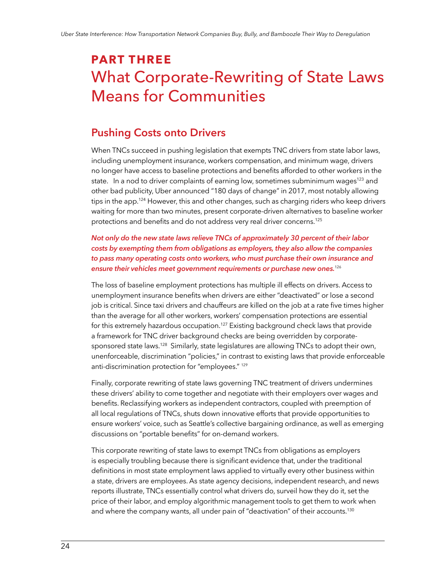## <span id="page-23-0"></span>**PART THREE** What Corporate-Rewriting of State Laws Means for Communities

### **Pushing Costs onto Drivers**

When TNCs succeed in pushing legislation that exempts TNC drivers from state labor laws, including unemployment insurance, workers compensation, and minimum wage, drivers no longer have access to baseline protections and benefits afforded to other workers in the state. In a nod to driver complaints of earning low, sometimes subminimum wages<sup>123</sup> and other bad publicity, Uber announced "180 days of change" in 2017, most notably allowing tips in the app.<sup>124</sup> However, this and other changes, such as charging riders who keep drivers waiting for more than two minutes, present corporate-driven alternatives to baseline worker protections and benefits and do not address very real driver concerns.<sup>125</sup>

*Not only do the new state laws relieve TNCs of approximately 30 percent of their labor costs by exempting them from obligations as employers, they also allow the companies to pass many operating costs onto workers, who must purchase their own insurance and ensure their vehicles meet government requirements or purchase new ones.*<sup>126</sup>

The loss of baseline employment protections has multiple ill effects on drivers. Access to unemployment insurance benefits when drivers are either "deactivated" or lose a second job is critical. Since taxi drivers and chauffeurs are killed on the job at a rate five times higher than the average for all other workers, workers' compensation protections are essential for this extremely hazardous occupation.<sup>127</sup> Existing background check laws that provide a framework for TNC driver background checks are being overridden by corporatesponsored state laws.<sup>128</sup> Similarly, state legislatures are allowing TNCs to adopt their own, unenforceable, discrimination "policies," in contrast to existing laws that provide enforceable anti-discrimination protection for "employees." 129

Finally, corporate rewriting of state laws governing TNC treatment of drivers undermines these drivers' ability to come together and negotiate with their employers over wages and benefits. Reclassifying workers as independent contractors, coupled with preemption of all local regulations of TNCs, shuts down innovative efforts that provide opportunities to ensure workers' voice, such as Seattle's collective bargaining ordinance, as well as emerging discussions on "portable benefits" for on-demand workers.

This corporate rewriting of state laws to exempt TNCs from obligations as employers is especially troubling because there is significant evidence that, under the traditional definitions in most state employment laws applied to virtually every other business within a state, drivers are employees. As state agency decisions, independent research, and news reports illustrate, TNCs essentially control what drivers do, surveil how they do it, set the price of their labor, and employ algorithmic management tools to get them to work when and where the company wants, all under pain of "deactivation" of their accounts.<sup>130</sup>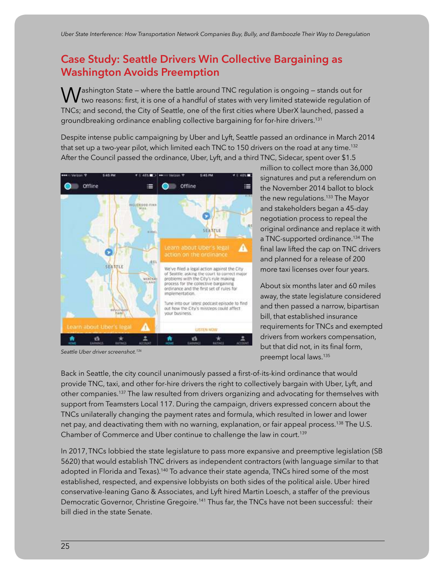## <span id="page-24-0"></span>**Case Study: Seattle Drivers Win Collective Bargaining as Washington Avoids Preemption**

 $\bigwedge$  **J**ashington State – where the battle around TNC regulation is ongoing – stands out for  $^\prime$  two reasons: first, it is one of a handful of states with very limited statewide regulation of TNCs; and second, the City of Seattle, one of the first cities where UberX launched, passed a groundbreaking ordinance enabling collective bargaining for for-hire drivers.<sup>131</sup>

Despite intense public campaigning by Uber and Lyft, Seattle passed an ordinance in March 2014 that set up a two-year pilot, which limited each TNC to 150 drivers on the road at any time.<sup>132</sup> After the Council passed the ordinance, Uber, Lyft, and a third TNC, Sidecar, spent over \$1.5



*Seattle Uber driver screenshot.136*

million to collect more than 36,000 signatures and put a referendum on the November 2014 ballot to block the new regulations.<sup>133</sup> The Mayor and stakeholders began a 45-day negotiation process to repeal the original ordinance and replace it with a TNC-supported ordinance.<sup>134</sup> The final law lifted the cap on TNC drivers and planned for a release of 200 more taxi licenses over four years.

About six months later and 60 miles away, the state legislature considered and then passed a narrow, bipartisan bill, that established insurance requirements for TNCs and exempted drivers from workers compensation, but that did not, in its final form, preempt local laws.<sup>135</sup>

Back in Seattle, the city council unanimously passed a first-of-its-kind ordinance that would provide TNC, taxi, and other for-hire drivers the right to collectively bargain with Uber, Lyft, and other companies.<sup>137</sup> The law resulted from drivers organizing and advocating for themselves with support from Teamsters Local 117. During the campaign, drivers expressed concern about the TNCs unilaterally changing the payment rates and formula, which resulted in lower and lower net pay, and deactivating them with no warning, explanation, or fair appeal process.<sup>138</sup> The U.S. Chamber of Commerce and Uber continue to challenge the law in court.<sup>139</sup>

In 2017,TNCs lobbied the state legislature to pass more expansive and preemptive legislation (SB 5620) that would establish TNC drivers as independent contractors (with language similar to that adopted in Florida and Texas).<sup>140</sup> To advance their state agenda, TNCs hired some of the most established, respected, and expensive lobbyists on both sides of the political aisle. Uber hired conservative-leaning Gano & Associates, and Lyft hired Martin Loesch, a staffer of the previous Democratic Governor, Christine Gregoire.<sup>141</sup> Thus far, the TNCs have not been successful: their bill died in the state Senate.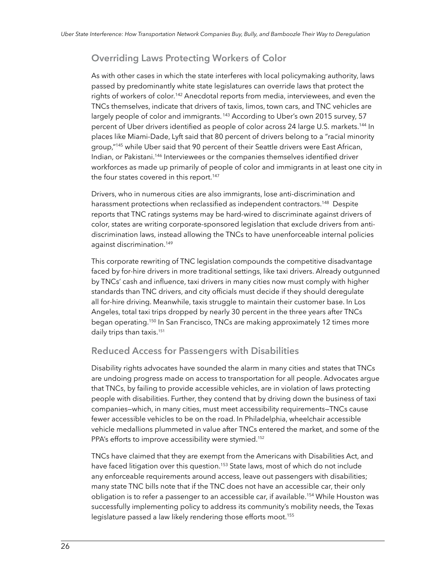#### <span id="page-25-0"></span>**Overriding Laws Protecting Workers of Color**

As with other cases in which the state interferes with local policymaking authority, laws passed by predominantly white state legislatures can override laws that protect the rights of workers of color.<sup>142</sup> Anecdotal reports from media, interviewees, and even the TNCs themselves, indicate that drivers of taxis, limos, town cars, and TNC vehicles are largely people of color and immigrants.<sup>143</sup> According to Uber's own 2015 survey, 57 percent of Uber drivers identified as people of color across 24 large U.S. markets.<sup>144</sup> In places like Miami-Dade, Lyft said that 80 percent of drivers belong to a "racial minority group,"<sup>145</sup> while Uber said that 90 percent of their Seattle drivers were East African, Indian, or Pakistani.<sup>146</sup> Interviewees or the companies themselves identified driver workforces as made up primarily of people of color and immigrants in at least one city in the four states covered in this report.<sup>147</sup>

Drivers, who in numerous cities are also immigrants, lose anti-discrimination and harassment protections when reclassified as independent contractors.<sup>148</sup> Despite reports that TNC ratings systems may be hard-wired to discriminate against drivers of color, states are writing corporate-sponsored legislation that exclude drivers from antidiscrimination laws, instead allowing the TNCs to have unenforceable internal policies against discrimination.<sup>149</sup>

This corporate rewriting of TNC legislation compounds the competitive disadvantage faced by for-hire drivers in more traditional settings, like taxi drivers. Already outgunned by TNCs' cash and influence, taxi drivers in many cities now must comply with higher standards than TNC drivers, and city officials must decide if they should deregulate all for-hire driving. Meanwhile, taxis struggle to maintain their customer base. In Los Angeles, total taxi trips dropped by nearly 30 percent in the three years after TNCs began operating.<sup>150</sup> In San Francisco, TNCs are making approximately 12 times more daily trips than taxis.<sup>151</sup>

#### **Reduced Access for Passengers with Disabilities**

Disability rights advocates have sounded the alarm in many cities and states that TNCs are undoing progress made on access to transportation for all people. Advocates argue that TNCs, by failing to provide accessible vehicles, are in violation of laws protecting people with disabilities. Further, they contend that by driving down the business of taxi companies—which, in many cities, must meet accessibility requirements—TNCs cause fewer accessible vehicles to be on the road. In Philadelphia, wheelchair accessible vehicle medallions plummeted in value after TNCs entered the market, and some of the PPA's efforts to improve accessibility were stymied.<sup>152</sup>

TNCs have claimed that they are exempt from the Americans with Disabilities Act, and have faced litigation over this question.<sup>153</sup> State laws, most of which do not include any enforceable requirements around access, leave out passengers with disabilities; many state TNC bills note that if the TNC does not have an accessible car, their only obligation is to refer a passenger to an accessible car, if available.<sup>154</sup> While Houston was successfully implementing policy to address its community's mobility needs, the Texas legislature passed a law likely rendering those efforts moot.<sup>155</sup>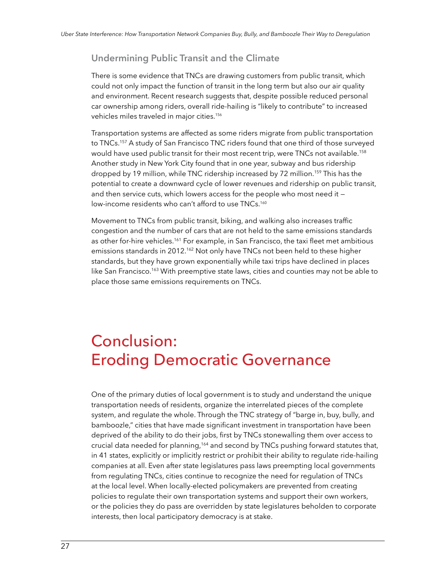#### <span id="page-26-0"></span>**Undermining Public Transit and the Climate**

There is some evidence that TNCs are drawing customers from public transit, which could not only impact the function of transit in the long term but also our air quality and environment. Recent research suggests that, despite possible reduced personal car ownership among riders, overall ride-hailing is "likely to contribute" to increased vehicles miles traveled in major cities.<sup>156</sup>

Transportation systems are affected as some riders migrate from public transportation to TNCs.<sup>157</sup> A study of San Francisco TNC riders found that one third of those surveyed would have used public transit for their most recent trip, were TNCs not available.<sup>158</sup> Another study in New York City found that in one year, subway and bus ridership dropped by 19 million, while TNC ridership increased by 72 million.<sup>159</sup> This has the potential to create a downward cycle of lower revenues and ridership on public transit, and then service cuts, which lowers access for the people who most need it low-income residents who can't afford to use TNCs.<sup>160</sup>

Movement to TNCs from public transit, biking, and walking also increases traffic congestion and the number of cars that are not held to the same emissions standards as other for-hire vehicles.<sup>161</sup> For example, in San Francisco, the taxi fleet met ambitious emissions standards in 2012.<sup>162</sup> Not only have TNCs not been held to these higher standards, but they have grown exponentially while taxi trips have declined in places like San Francisco.<sup>163</sup> With preemptive state laws, cities and counties may not be able to place those same emissions requirements on TNCs.

## Conclusion: Eroding Democratic Governance

One of the primary duties of local government is to study and understand the unique transportation needs of residents, organize the interrelated pieces of the complete system, and regulate the whole. Through the TNC strategy of "barge in, buy, bully, and bamboozle," cities that have made significant investment in transportation have been deprived of the ability to do their jobs, first by TNCs stonewalling them over access to crucial data needed for planning,<sup>164</sup> and second by TNCs pushing forward statutes that, in 41 states, explicitly or implicitly restrict or prohibit their ability to regulate ride-hailing companies at all. Even after state legislatures pass laws preempting local governments from regulating TNCs, cities continue to recognize the need for regulation of TNCs at the local level. When locally-elected policymakers are prevented from creating policies to regulate their own transportation systems and support their own workers, or the policies they do pass are overridden by state legislatures beholden to corporate interests, then local participatory democracy is at stake.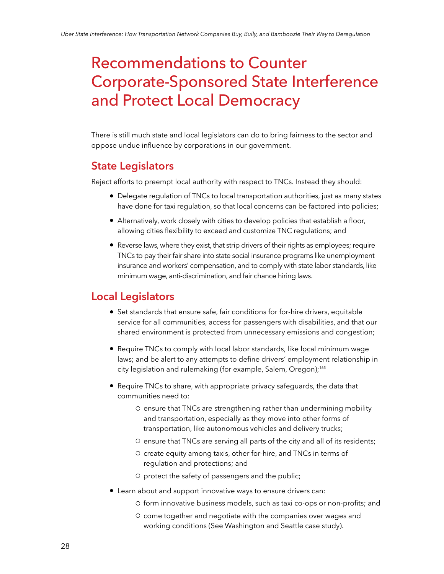## <span id="page-27-0"></span>Recommendations to Counter Corporate-Sponsored State Interference and Protect Local Democracy

There is still much state and local legislators can do to bring fairness to the sector and oppose undue influence by corporations in our government.

## **State Legislators**

Reject efforts to preempt local authority with respect to TNCs. Instead they should:

- Delegate regulation of TNCs to local transportation authorities, just as many states have done for taxi regulation, so that local concerns can be factored into policies;
- Alternatively, work closely with cities to develop policies that establish a floor, allowing cities flexibility to exceed and customize TNC regulations; and
- Reverse laws, where they exist, that strip drivers of their rights as employees; require TNCs to pay their fair share into state social insurance programs like unemployment insurance and workers' compensation, and to comply with state labor standards, like minimum wage, anti-discrimination, and fair chance hiring laws.

### **Local Legislators**

- Set standards that ensure safe, fair conditions for for-hire drivers, equitable service for all communities, access for passengers with disabilities, and that our shared environment is protected from unnecessary emissions and congestion;
- Require TNCs to comply with local labor standards, like local minimum wage laws; and be alert to any attempts to define drivers' employment relationship in city legislation and rulemaking (for example, Salem, Oregon);<sup>165</sup>
- Require TNCs to share, with appropriate privacy safeguards, the data that communities need to:
	- 0 ensure that TNCs are strengthening rather than undermining mobility and transportation, especially as they move into other forms of transportation, like autonomous vehicles and delivery trucks;
	- 0 ensure that TNCs are serving all parts of the city and all of its residents;
	- $\circ$  create equity among taxis, other for-hire, and TNCs in terms of regulation and protections; and
	- 0 protect the safety of passengers and the public;
- Learn about and support innovative ways to ensure drivers can:
	- 4 form innovative business models, such as taxi co-ops or non-profits; and
	- 4 come together and negotiate with the companies over wages and working conditions (See Washington and Seattle case study).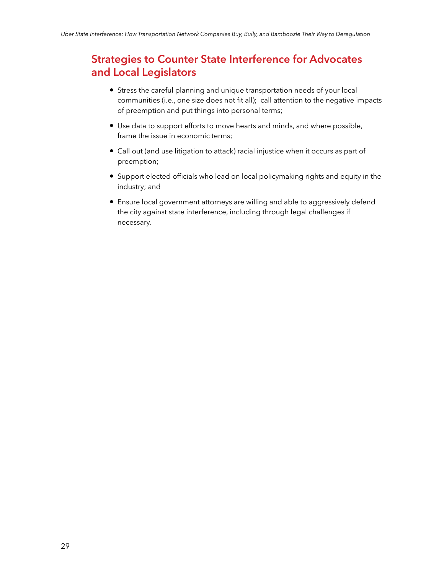## <span id="page-28-0"></span>**Strategies to Counter State Interference for Advocates and Local Legislators**

- Stress the careful planning and unique transportation needs of your local communities (i.e., one size does not fit all); call attention to the negative impacts of preemption and put things into personal terms;
- Use data to support efforts to move hearts and minds, and where possible, frame the issue in economic terms;
- Call out (and use litigation to attack) racial injustice when it occurs as part of preemption;
- Support elected officials who lead on local policymaking rights and equity in the industry; and
- Ensure local government attorneys are willing and able to aggressively defend the city against state interference, including through legal challenges if necessary.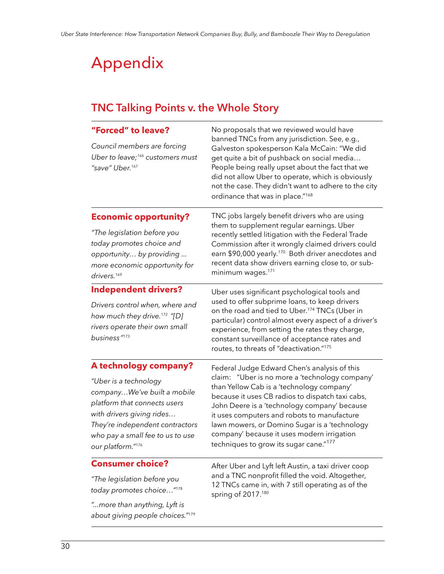## <span id="page-29-0"></span>Appendix

## **TNC Talking Points v. the Whole Story**

| "Forced" to leave?<br>Council members are forcing<br>Uber to leave; <sup>166</sup> customers must<br>"save" Uber. <sup>167</sup>                                                                                                       | No proposals that we reviewed would have<br>banned TNCs from any jurisdiction. See, e.g.,<br>Galveston spokesperson Kala McCain: "We did<br>get quite a bit of pushback on social media<br>People being really upset about the fact that we<br>did not allow Uber to operate, which is obviously<br>not the case. They didn't want to adhere to the city<br>ordinance that was in place."168                                            |
|----------------------------------------------------------------------------------------------------------------------------------------------------------------------------------------------------------------------------------------|-----------------------------------------------------------------------------------------------------------------------------------------------------------------------------------------------------------------------------------------------------------------------------------------------------------------------------------------------------------------------------------------------------------------------------------------|
| <b>Economic opportunity?</b><br>"The legislation before you<br>today promotes choice and<br>opportunity by providing<br>more economic opportunity for<br>drivers. <sup>169</sup>                                                       | TNC jobs largely benefit drivers who are using<br>them to supplement regular earnings. Uber<br>recently settled litigation with the Federal Trade<br>Commission after it wrongly claimed drivers could<br>earn \$90,000 yearly. <sup>170</sup> Both driver anecdotes and<br>recent data show drivers earning close to, or sub-<br>minimum wages. <sup>171</sup>                                                                         |
| <b>Independent drivers?</b><br>Drivers control when, where and<br>how much they drive. <sup>172</sup> "[D]<br>rivers operate their own small<br>business <sup>."173</sup>                                                              | Uber uses significant psychological tools and<br>used to offer subprime loans, to keep drivers<br>on the road and tied to Uber. <sup>174</sup> TNCs (Uber in<br>particular) control almost every aspect of a driver's<br>experience, from setting the rates they charge,<br>constant surveillance of acceptance rates and<br>routes, to threats of "deactivation."175                                                                   |
| A technology company?<br>"Uber is a technology<br>companyWe've built a mobile<br>platform that connects users<br>with drivers giving rides<br>They're independent contractors<br>who pay a small fee to us to use<br>our platform."176 | Federal Judge Edward Chen's analysis of this<br>claim: "Uber is no more a 'technology company'<br>than Yellow Cab is a 'technology company'<br>because it uses CB radios to dispatch taxi cabs,<br>John Deere is a 'technology company' because<br>it uses computers and robots to manufacture<br>lawn mowers, or Domino Sugar is a 'technology<br>company' because it uses modern irrigation<br>techniques to grow its sugar cane."177 |
| <b>Consumer choice?</b><br>"The legislation before you<br>today promotes choice"178<br>"more than anything, Lyft is<br>about giving people choices."179                                                                                | After Uber and Lyft left Austin, a taxi driver coop<br>and a TNC nonprofit filled the void. Altogether,<br>12 TNCs came in, with 7 still operating as of the<br>spring of 2017.180                                                                                                                                                                                                                                                      |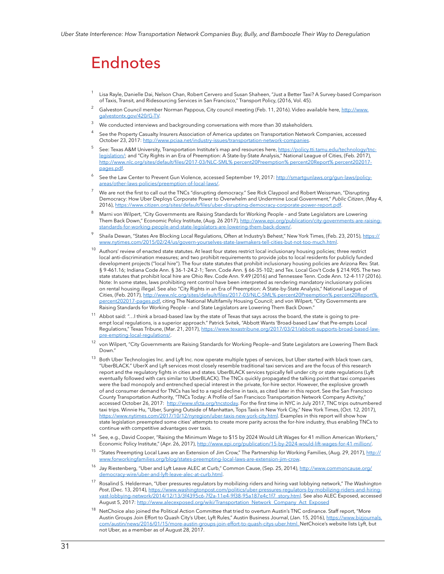## Endnotes

- <sup>1</sup> Lisa Rayle, Danielle Dai, Nelson Chan, Robert Cervero and Susan Shaheen, "Just a Better Taxi? A Survey-based Comparison of Taxis, Transit, and Ridesourcing Services in San Francisco," Transport Policy, (2016, Vol. 45).
- <sup>2</sup> Galveston Council member Norman Pappous, City council meeting (Feb. 11, 2016). Video available here, [http://www.](http://www.galvestontx.gov/420/G-TV) [galvestontx.gov/420/G-TV.](http://www.galvestontx.gov/420/G-TV)
- <sup>3</sup> We conducted interviews and backgrounding conversations with more than 30 stakeholders.
- See the Property Casualty Insurers Association of America updates on Transportation Network Companies, accessed October 23, 2017:<http://www.pciaa.net/industry-issues/transportation-network-companies>.
- <sup>5</sup>See: Texas A&M University, Transportation Institute's map and resources here, [https://policy.tti.tamu.edu/technology/tnc](https://policy.tti.tamu.edu/technology/tnc-legislation/)[legislation/](https://policy.tti.tamu.edu/technology/tnc-legislation/); and "City Rights in an Era of Preemption: A State-by-State Analysis," National League of Cities, (Feb. 2017), [http://www.nlc.org/sites/default/files/2017-03/NLC-SML% percent20Preemption% percent20Report% percent202017](http://www.nlc.org/sites/default/files/2017-03/NLC-SML Preemption Report 2017-pages.pdf) [pages.pdf.](http://www.nlc.org/sites/default/files/2017-03/NLC-SML Preemption Report 2017-pages.pdf)
- See the Law Center to Prevent Gun Violence, accessed September 19, 2017: [http://smartgunlaws.org/gun-laws/policy](http://smartgunlaws.org/gun-laws/policy-areas/other-laws-policies/preemption-of-local-laws/)[areas/other-laws-policies/preemption-of-local-laws/](http://smartgunlaws.org/gun-laws/policy-areas/other-laws-policies/preemption-of-local-laws/).
- We are not the first to call out the TNCs "disrupting democracy." See Rick Claypool and Robert Weissman, "Disrupting Democracy: How Uber Deploys Corporate Power to Overwhelm and Undermine Local Government," *Public Citizen*, (May 4, 2016), [https://www.citizen.org/sites/default/files/uber-disrupting-democracy-corporate-power-report.pdf.](https://www.citizen.org/sites/default/files/uber-disrupting-democracy-corporate-power-report.pdf)
- <sup>8</sup>Marni von Wilpert, "City Governments are Raising Standards for Working People and State Legislators are Lowering Them Back Down," Economic Policy Institute, (Aug. 26 2017), http://www.epi.org/publication/city-governments-are-raisingstandards-for-working-people-and-state-legislators-are-lowering-them-back-down/.
- Shaila Dewan, "States Are Blocking Local Regulations, Often at Industry's Behest," New York Times, (Feb. 23, 2015), [https://](https://www.nytimes.com/2015/02/24/us/govern-yourselves-state-lawmakers-tell-cities-but-not-too-much.html) [www.nytimes.com/2015/02/24/us/govern-yourselves-state-lawmakers-tell-cities-but-not-too-much.html.](https://www.nytimes.com/2015/02/24/us/govern-yourselves-state-lawmakers-tell-cities-but-not-too-much.html)
- $10$  Authors' review of enacted state statutes. At least four states restrict local inclusionary housing policies; three restrict local anti-discrimination measures; and two prohibit requirements to provide jobs to local residents for publicly funded development projects ("local hire"). The four state statutes that prohibit inclusionary housing policies are Arizona Rev. Stat. § 9-461.16; Indiana Code Ann. § 36-1-24.2-1; Tenn. Code Ann. § 66-35-102; and Tex. Local Gov't Code § 214.905. The two state statutes that prohibit local hire are Ohio Rev. Code Ann. 9.49 (2016) and Tennessee Tenn. Code Ann. 12-4-117 (2016). Note: In some states, laws prohibiting rent control have been interpreted as rendering mandatory inclusionary policies on rental housing illegal. See also "City Rights in an Era of Preemption: A State-by-State Analysis," National League of Cities, (Feb. 2017), [http://www.nlc.org/sites/default/files/2017-03/NLC-SML% percent20Preemption% percent20Report%](http://www.nlc.org/sites/default/files/2017-03/NLC-SML Preemption Report 2017-pages.pdf)  [percent202017-pages.pdf,](http://www.nlc.org/sites/default/files/2017-03/NLC-SML Preemption Report 2017-pages.pdf) citing The National Multifamily Housing Council; and von Wilpert, "City Governments are Raising Standards for Working People – and State Legislators are Lowering Them Back Down."
- <sup>11</sup> Abbot said: "...I think a broad-based law by the state of Texas that says across the board, the state is going to preempt local regulations, is a superior approach." Patrick Svitek, "Abbott Wants 'Broad-based Law' that Pre-empts Local Regulations," Texas Tribune, (Mar. 21, 2017), [https://www.texastribune.org/2017/03/21/abbott-supports-broad-based-law](https://www.texastribune.org/2017/03/21/abbott-supports-broad-based-law-pre-empting-local-regulations/)[pre-empting-local-regulations/](https://www.texastribune.org/2017/03/21/abbott-supports-broad-based-law-pre-empting-local-regulations/).
- $12$  von Wilpert, "City Governments are Raising Standards for Working People–and State Legislators are Lowering Them Back Down<sup>"</sup>
- <sup>13</sup> Both Uber Technologies Inc. and Lyft Inc. now operate multiple types of services, but Uber started with black town cars, "UberBLACK." UberX and Lyft services most closely resemble traditional taxi services and are the focus of this research report and the regulatory fights in cities and states. UberBLACK services typically fell under city or state regulations (Lyft eventually followed with cars similar to UberBLACK). The TNCs quickly propagated the talking point that taxi companies were the bad monopoly and entrenched special interest in the private, for-hire sector. However, the explosive growth of and consumer demand for TNCs has led to a rapid decline in taxis, as cited later in this report. See the San Francisco County Transportation Authority, "TNCs Today: A Profile of San Francisco Transportation Network Company Activity," accessed October 26, 2017: <http://www.sfcta.org/tncstoday>. For the first time in NYC in July 2017, TNC trips outnumbered taxi trips. Winnie Hu, "Uber, Surging Outside of Manhattan, Tops Taxis in New York City," New York Times, (Oct. 12, 2017), [https://www.nytimes.com/2017/10/12/nyregion/uber-taxis-new-york-city.html.](https://www.nytimes.com/2017/10/12/nyregion/uber-taxis-new-york-city.html) Examples in this report will show how state legislation preempted some cities' attempts to create more parity across the for-hire industry, thus enabling TNCs to continue with competitive advantages over taxis.
- See, e.g., David Cooper, "Raising the Minimum Wage to \$15 by 2024 Would Lift Wages for 41 million American Workers," Economic Policy Institute," (Apr. 26, 2017), [http://www.epi.org/publication/15-by-2024-would-lift-wages-for-41-million/.](http://www.epi.org/publication/15-by-2024-would-lift-wages-for-41-million/)
- <sup>15</sup>"States Preempting Local Laws are an Extension of Jim Crow," The Partnership for Working Families, (Aug. 29, 2017), [http://](http://www.forworkingfamilies.org/blog/states-preempting-local-laws-are-extension-jim-crow) orkingfamilies.org/blog/states-preempting-local-laws-are-extensi
- <sup>16</sup> Jay Riestenberg, "Uber and Lyft Leave ALEC at Curb," Common Cause, (Sep. 25, 2014)[, http://www.commoncause.org/](http://www.commoncause.org/democracy-wire/uber-and-lyft-leave-alec-at-curb.html) /uber-and-lyft-leave-alec-at-curb.html
- <sup>17</sup> Rosalind S. Helderman, "Uber pressures regulators by mobilizing riders and hiring vast lobbying network," The Washington *Post*, (Dec. 13, 2014), [https://www.washingtonpost.com/politics/uber-pressures-regulators-by-mobilizing-riders-and-hiring](https://www.washingtonpost.com/politics/uber-pressures-regulators-by-mobilizing-riders-and-hiring-vast-lobbying-network/2014/12/13/3f4395c6-7f2a-11e4-9f38-95a187e4c1f7_story.html)[vast-lobbying-network/2014/12/13/3f4395c6-7f2a-11e4-9f38-95a187e4c1f7\\_story.html](https://www.washingtonpost.com/politics/uber-pressures-regulators-by-mobilizing-riders-and-hiring-vast-lobbying-network/2014/12/13/3f4395c6-7f2a-11e4-9f38-95a187e4c1f7_story.html). See also ALEC Exposed, accessed August 5, 2017: [http://www.alecexposed.org/wiki/Transportation\\_Network\\_Company\\_Act\\_Exposed](http://www.alecexposed.org/wiki/Transportation_Network_Company_Act_Exposed)
- NetChoice also joined the Political Action Committee that tried to overturn Austin's TNC ordinance. Staff report, "More Austin Groups Join Effort to Quash City's Uber, Lyft Rules," Austin Business Journal, (Jan. 15, 2016)[, https://www.bizjournals.](https://www.bizjournals.com/austin/news/2016/01/15/more-austin-groups-join-effort-to-quash-citys-uber.html) [com/austin/news/2016/01/15/more-austin-groups-join-effort-to-quash-citys-uber.html](https://www.bizjournals.com/austin/news/2016/01/15/more-austin-groups-join-effort-to-quash-citys-uber.html). NetChoice's website lists Lyft, but not Uber, as a member as of August 28, 2017.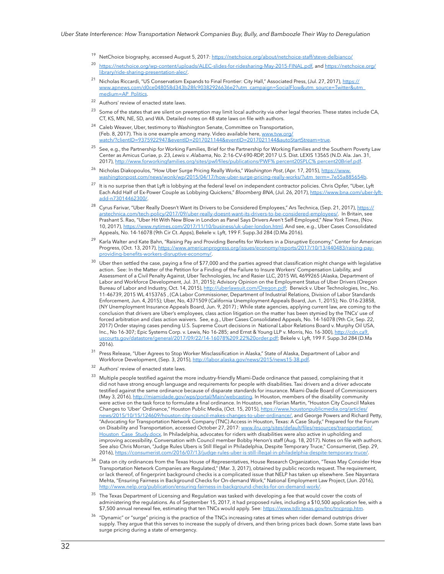- <sup>19</sup> NetChoice biography, accessed August 5, 2017:<https://netchoice.org/about/netchoice-staff/steve-delbianco/>
- <sup>20</sup><https://netchoice.org/wp-content/uploads/ALEC-slides-for-ridesharing-May-2015-FINAL.pdf>, and [https://netchoice.org/](https://netchoice.org/library/ride-sharing-presentation-alec/) [library/ride-sharing-presentation-alec/.](https://netchoice.org/library/ride-sharing-presentation-alec/)
- <sup>21</sup> Nicholas Riccardi, "US Conservatism Expands to Final Frontier: City Hall," Associated Press, (Jul. 27, 2017), [https://](https://www.apnews.com/d0ce048058d343b28fc90382926636e2?utm_campaign=SocialFlow&utm_source=Twitter&utm_medium=AP_Politics) [www.apnews.com/d0ce048058d343b28fc90382926636e2?utm\\_campaign=SocialFlow&utm\\_source=Twitter&utm\\_](https://www.apnews.com/d0ce048058d343b28fc90382926636e2?utm_campaign=SocialFlow&utm_source=Twitter&utm_medium=AP_Politics) [medium=AP\\_Politics.](https://www.apnews.com/d0ce048058d343b28fc90382926636e2?utm_campaign=SocialFlow&utm_source=Twitter&utm_medium=AP_Politics)
- $22$  Authors' review of enacted state laws.
- Some of the states that are silent on preemption may limit local authority via other legal theories. These states include CA, CT, KS, MN, NE, SD, and WA. Detailed notes on 48 state laws on file with authors.
- $24$  Caleb Weaver, Uber, testimony to Washington Senate, Committee on Transportation, (Feb. 8, 2017). This is one example among many. Video available here, [www.tvw.org/](http://www.tvw.org/watch/?clientID=9375922947&eventID=2017021144&eventID=2017021144&autoStartStream=true) [watch/?clientID=9375922947&eventID=2017021144&eventID=2017021144&autoStartStream=true.](http://www.tvw.org/watch/?clientID=9375922947&eventID=2017021144&eventID=2017021144&autoStartStream=true)
- <sup>25</sup> See, e.g., the Partnership for Working Families, Brief for the Partnership for Working Families and the Southern Poverty Law Center as Amicus Curiae, p. 23, *Lewis v. Alabama*, No. 2:16-CV-690-RDP, 2017 U.S. Dist. LEXIS 13565 (N.D. Ala. Jan. 31, 2017), [http://www.forworkingfamilies.org/sites/pwf/files/publications/PWF% percent20SPLC% percent20Brief.pdf](http://www.forworkingfamilies.org/sites/pwf/files/publications/PWF SPLC Brief.pdf).
- <sup>26</sup> Nicholas Diakopoulos, "How Uber Surge Pricing Really Works," *Washington Post*, (Apr. 17, 2015), <u>https://www.</u> [washingtonpost.com/news/wonk/wp/2015/04/17/how-uber-surge-pricing-really-works/?utm\\_term=.7e55a885654b](https://www.washingtonpost.com/news/wonk/wp/2015/04/17/how-uber-surge-pricing-really-works/?utm_term=.7e55a885654b).
- <sup>27</sup> It is no surprise then that Lyft is lobbying at the federal level on independent contractor policies. Chris Opfer, "Uber, Lyft Each Add Half of Ex-Power Couple as Lobbying Quickens," *Bloomberg BNA*, (Jul. 26, 2017), [https://www.bna.com/uber-lyft](https://www.bna.com/uber-lyft-add-n73014462300/)[add-n73014462300/](https://www.bna.com/uber-lyft-add-n73014462300/).
- <sup>28</sup> Cyrus Farivar, "Uber Really Doesn't Want its Drivers to be Considered Employees," Ars Technica, (Sep. 21, 2017), [https://](https://arstechnica.com/tech-policy/2017/09/uber-really-doesnt-want-its-drivers-to-be-considered-employees/) [arstechnica.com/tech-policy/2017/09/uber-really-doesnt-want-its-drivers-to-be-considered-employees/](https://arstechnica.com/tech-policy/2017/09/uber-really-doesnt-want-its-drivers-to-be-considered-employees/). In Britain, see Prashant S. Rao, "Uber Hit With New Blow in London as Panel Says Drivers Aren't Self-Employed," *New York Times*, (Nov. 10, 2017), https://www.nytimes.com/2017/11/10/business/uk-uber-london.html. And see, e.g., Uber Cases Consolidated Appeals, No. 14-16078 (9th Cir Ct. Apps), Bekele v. Lyft, 199 F. Supp.3d 284 (D.Ma 2016).
- Karla Walter and Kate Bahn, "Raising Pay and Providing Benefits for Workers in a Disruptive Economy," Center for American Progress, (Oct. 13, 2017), [https://www.americanprogress.org/issues/economy/reports/2017/10/13/440483/raising-pay](https://www.americanprogress.org/issues/economy/reports/2017/10/13/440483/raising-pay-providing-benefits-workers-disruptive-economy/)[providing-benefits-workers-disruptive-economy/.](https://www.americanprogress.org/issues/economy/reports/2017/10/13/440483/raising-pay-providing-benefits-workers-disruptive-economy/)
- $30$  Uber then settled the case, paying a fine of \$77,000 and the parties agreed that classification might change with legislative action. See: In the Matter of the Petition for a Finding of the Failure to Insure Workers' Compensation Liability, and Assessment of a Civil Penalty Against, Uber Technologies, Inc and Rasier LLC, 2015 WL 4699265 (Alaska, Department of Labor and Workforce Development, Jul. 31, 2015); Advisory Opinion on the Employment Status of Uber Drivers ([Oregon](http://labor.alaska.gov/news/2015/news15-38.pdf)  [Bureau of Labor and Industry, O](http://labor.alaska.gov/news/2015/news15-38.pdf)ct. 14, 2015),<http://uberlawsuit.com/Oregon.pdf>; Berwick v. Uber Technologies, Inc., No. 11-46739, 2015 WL 4153765 , (CA Labor Commissioner, Department of Industrial Relations, Division of Labor Standards Enforcement, Jun. 4, 2015); Uber, No, 4371509 (California Unemployment Appeals Board, Jun. 1, 2015); No. 016-23858, (NY Unemployment Insurance Appeals Board, Jun. 9, 2017) ; While state agencies, applying current law, are coming to the conclusion that drivers are Uber's employees, class action litigation on the matter has been stymied by the TNCs' use of forced arbitration and class action waivers. See, e.g., Uber Cases Consolidated Appeals, No. 14-16078 (9th Cir, Sep. 22, 2017) Order staying cases pending U.S. Supreme Court decisions in National Labor Relations Board v. Murphy Oil USA, Inc., No 16-307; Epic Systems Corp. v. Lewis, No 16-285; and Ernst & Young LLP v. Morris, No. 16-300), http://cdn.ca9. uscourts.gov/datastore/general/2017/09/22/14-16078%209.22%20order.pdf; Bekele v. Lyft, 199 F. Supp.3d 284 (D.Ma 2016).
- Press Release, "Uber Agrees to Stop Worker Misclassification in Alaska," State of Alaska, Department of Labor and Workforce Development, (Sep. 3, 2015), [http://labor.alaska.gov/news/2015/news15-38.pdf.](http://labor.alaska.gov/news/2015/news15-38.pdf)
- <sup>32</sup> Authors' review of enacted state laws.
- <sup>33</sup>Multiple people testified against the more industry-friendly Miami-Dade ordinance that passed, complaining that it did not have strong enough language and requirements for people with disabilities. Taxi drivers and a driver advocate testified against the same ordinance because of disparate standards for insurance. Miami-Dade Board of Commissioners (May 3, 2016), [http://miamidade.gov/wps/portal/Main/webcasting.](http://miamidade.gov/wps/portal/Main/webcasting) In Houston, members of the disability community were active on the task force to formulate a final ordinance. In Houston, see Florian Martin, "Houston City Council Makes Changes to 'Uber' Ordinance," Houston Public Media, (Oct. 15, 2015), [https://www.houstonpublicmedia.org/articles/](https://www.houstonpublicmedia.org/articles/news/2015/10/15/124609/houston-city-council-makes-changes-to-uber-ordinance/) [news/2015/10/15/124609/houston-city-council-makes-changes-to-uber-ordinance/](https://www.houstonpublicmedia.org/articles/news/2015/10/15/124609/houston-city-council-makes-changes-to-uber-ordinance/), and George Powers and Richard Petty, "Advocating for Transportation Network Company (TNC) Access in Houston, Texas: A Case Study," Prepared for the Forum on Disability and Transportation, accessed October 27, 2017: [www.ilru.org/sites/default/files/resources/transportation/](http://www.ilru.org/sites/default/files/resources/transportation/Houston_Case_Study.docx) [Houston\\_Case\\_Study.docx](http://www.ilru.org/sites/default/files/resources/transportation/Houston_Case_Study.docx). In Philadelphia, advocates for riders with disabilities were also active in upholding and improving accessibility. Conversation with Council member Bobby Henon's staff (Aug. 18, 2017). Notes on file with authors. See also Chris Morran, "Judge Rules Ubers is Still Illegal in Philadelphia, Despite Temporary Truce," Consumerist, (Sep. 29, 2016), <https://consumerist.com/2016/07/13/judge-rules-uber-is-still-illegal-in-philadelphia-despite-temporary-truce/>.
- $34$  Data on city ordinances from the Texas House of Representatives, House Research Organization, "Texas May Consider How Transportation Network Companies are Regulated," (Mar. 3, 2017), obtained by public records request. The requirement, or lack thereof, of fingerprint background checks is a complicated issue that NELP has taken up elsewhere. See Nayantara Mehta, "Ensuring Fairness in Background Checks for On-demand Work," National Employment Law Project, (Jun. 2016), [http://www.nelp.org/publication/ensuring-fairness-in-background-checks-for-on-demand-work/.](http://www.nelp.org/publication/ensuring-fairness-in-background-checks-for-on-demand-work/)
- <sup>35</sup> The Texas Department of Licensing and Regulation was tasked with developing a fee that would cover the costs of administering the regulations. As of September 15, 2017, it had proposed rules, including a \$10,500 application fee, with a \$7,500 annual renewal fee, estimating that ten TNCs would apply. See: [https://www.tdlr.texas.gov/tnc/tncprop.htm.](https://www.tdlr.texas.gov/tnc/tncprop.htm)
- $36$  "Dynamic" or "surge" pricing is the practice of the TNCs increasing rates at times when rider demand outstrips driver supply. They argue that this serves to increase the supply of drivers, and then bring prices back down. Some state laws ban surge pricing during a state of emergency.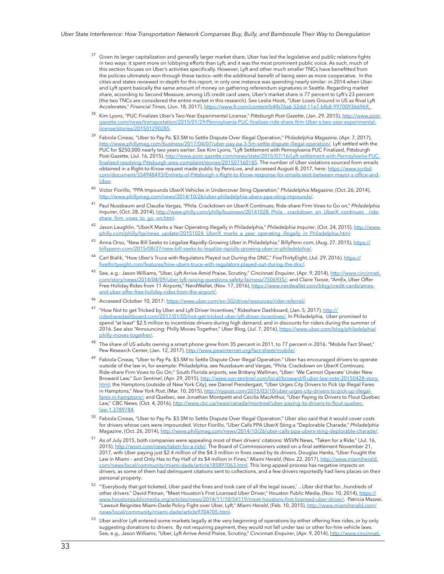- Given its larger capitalization and generally larger market share, Uber has led the legislative and public relations fights in two ways: it spent more on lobbying efforts than Lyft, and it was the most prominent public voice. As such, much of this section focuses on Uber's activities specifically. However, Lyft and other much smaller TNCs have benefitted from the policies ultimately won through these tactics—with the additional benefit of being seen as more cooperative. In the cities and states reviewed in-depth for this report, in only one instance was spending nearly similar: in 2014 when Uber and Lyft spent basically the same amount of money on gathering referendum signatures in Seattle. Regarding market share, according to Second Measure, among US credit card users, Uber's market share is 77 percent to Lyft's 23 percent (the two TNCs are considered the entire market in this research). See Leslie Hook, "Uber Loses Ground in US as Rival Lyft Accelerates," *Financial Times*, (Jun. 18, 2017), <https://www.ft.com/content/b4fb76a6-52dd-11e7-bfb8-997009366969>.
- <sup>38</sup>Kim Lyons, "PUC Finalizes Uber's Two-Year Experimental License," *Pittsburgh Post-Gazette*, (Jan. 29, 2015), [http://www.post](http://www.post-gazette.com/news/transportation/2015/01/29/Pennsylvania-PUC-finalizes-ride-share-firm-Uber-s-two-year-experimental-license/stories/201501290285)[gazette.com/news/transportation/2015/01/29/Pennsylvania-PUC-finalizes-ride-share-firm-Uber-s-two-year-experimental](http://www.post-gazette.com/news/transportation/2015/01/29/Pennsylvania-PUC-finalizes-ride-share-firm-Uber-s-two-year-experimental-license/stories/201501290285)[license/stories/201501290285](http://www.post-gazette.com/news/transportation/2015/01/29/Pennsylvania-PUC-finalizes-ride-share-firm-Uber-s-two-year-experimental-license/stories/201501290285).
- <sup>39</sup>Fabiola Cineas, "Uber to Pay Pa. \$3.5M to Settle Dispute Over Illegal Operation," *Philadelphia Magazine*, (Apr. 7, 2017), [http://www.phillymag.com/business/2017/04/07/uber-pay-pa-3-5m-settle-dispute-illegal-operation/.](http://www.phillymag.com/business/2017/04/07/uber-pay-pa-3-5m-settle-dispute-illegal-operation/) Lyft settled with the PUC for \$250,000 nearly two years earlier. See Kim Lyons, "Lyft Settlement with Pennsylvania PUC Finalized, Pittsburgh Post-Gazette, (Jul. 16, 2015), [http://www.post-gazette.com/news/state/2015/07/16/Lyft-settlement-with-Pennsylvania-PUC](http://www.post-gazette.com/news/state/2015/07/16/Lyft-settlement-with-Pennsylvania-PUC-finalized-resolving-Pittsburgh-area-complaint/stories/201507160185)[finalized-resolving-Pittsburgh-area-complaint/stories/201507160185](http://www.post-gazette.com/news/state/2015/07/16/Lyft-settlement-with-Pennsylvania-PUC-finalized-resolving-Pittsburgh-area-complaint/stories/201507160185). The number of Uber violations sourced from emails obtained in a Right-to-Know request made public by PennLive, and accessed August 8, 2017, here: [https://www.scribd.](https://www.scribd.com/document/334948493/Entirety-of-Pittsburgh-s-Right-to-Know-response-for-emails-sent-between-mayor-s-office-and-Uber) [com/document/334948493/Entirety-of-Pittsburgh-s-Right-to-Know-response-for-emails-sent-between-mayor-s-office-and-](https://www.scribd.com/document/334948493/Entirety-of-Pittsburgh-s-Right-to-Know-response-for-emails-sent-between-mayor-s-office-and-Uber)[Uber.](https://www.scribd.com/document/334948493/Entirety-of-Pittsburgh-s-Right-to-Know-response-for-emails-sent-between-mayor-s-office-and-Uber)
- <sup>40</sup> Victor Fiorillo, "PPA Impounds UberX Vehicles in Undercover Sting Operation," Philadelphia Magazine, (Oct. 26, 2014), <http://www.phillymag.com/news/2014/10/26/uber-philadelphia-uberx-ppa-sting-impounds/>.
- <sup>41</sup>Paul Nussbaum and Claudia Vargas, "Phila. Crackdown on UberX Continues; Ride-share Firm Vows to Go on," *Philadelphia Inquirer*, (Oct. 28, 2014), http://www.philly.com/philly/business/20141028\_Phila\_crackdown\_on\_UberX\_continues\_ [share\\_firm\\_vows\\_to\\_go\\_on.html.](http://www.philly.com/philly/business/20141028_Phila__crackdown_on_UberX_continues__ride-share_firm_vows_to_go_on.html)
- <sup>42</sup>Jason Laughlin, "UberX Marks a Year Operating Illegally in Philadelphia," *Philadelphia Inquirer*, (Oct. 24, 2015), [http://www.](http://www.philly.com/philly/hp/news_update/20151024_UberX_marks_a_year_operating_illegally_in_Philadelphia.html) [philly.com/philly/hp/news\\_update/20151024\\_UberX\\_marks\\_a\\_year\\_operating\\_illegally\\_in\\_Philadelphia.html](http://www.philly.com/philly/hp/news_update/20151024_UberX_marks_a_year_operating_illegally_in_Philadelphia.html)
- <sup>43</sup> Anna Orso, "New Bill Seeks to Legalize Rapidly-Growing Uber in Philadelphia," BillyPenn.com, (Aug. 27, 2015), [https://](https://billypenn.com/2015/08/27/new-bill-seeks-to-legalize-rapidly-growing-uber-in-philadelphia/) [billypenn.com/2015/08/27/new-bill-seeks-to-legalize-rapidly-growing-uber-in-philadelphia/](https://billypenn.com/2015/08/27/new-bill-seeks-to-legalize-rapidly-growing-uber-in-philadelphia/).
- Carl Bialik, "How Uber's Truce with Regulators Played out During the DNC," FiveThirtyEight, (Jul. 29, 2016), [https://](https://fivethirtyeight.com/features/how-ubers-truce-with-regulators-played-out-during-the-dnc/) [fivethirtyeight.com/features/how-ubers-truce-with-regulators-played-out-during-the-dnc/.](https://fivethirtyeight.com/features/how-ubers-truce-with-regulators-played-out-during-the-dnc/)
- <sup>45</sup> See, e.g.: Jason Williams, "Uber, Lyft Arrive Amid Praise, Scrutiny," *Cincinnati Enquirer*, (Apr. 9, 2014), [http://www.cincinnati.](http://www.cincinnati.com/story/news/2014/04/09/uber-lyft-raising-questions-safety-fairness/7506935/) [com/story/news/2014/04/09/uber-lyft-raising-questions-safety-fairness/7506935/](http://www.cincinnati.com/story/news/2014/04/09/uber-lyft-raising-questions-safety-fairness/7506935/); and Claire Tsosie, "AmEx, Uber Offer Free Holiday Rides from 11 Airports," NerdWallet, (Nov. 17, 2016), [https://www.nerdwallet.com/blog/credit-cards/amex](https://www.nerdwallet.com/blog/credit-cards/amex-and-uber-offer-free-holiday-rides-from-the-airport/)[and-uber-offer-free-holiday-rides-from-the-airport/.](https://www.nerdwallet.com/blog/credit-cards/amex-and-uber-offer-free-holiday-rides-from-the-airport/)
- <sup>46</sup>Accessed October 10, 2017: <https://www.uber.com/en-SG/drive/resources/rider-referral/>.
- <sup>47</sup> "How Not to get Tricked by Uber and Lyft Driver Incentives," Rideshare Dashboard, (Jan. 5, 2017), [http://](http://ridesharedashboard.com/2017/01/05/not-get-tricked-uber-lyft-driver-incentives/) [ridesharedashboard.com/2017/01/05/not-get-tricked-uber-lyft-driver-incentives/](http://ridesharedashboard.com/2017/01/05/not-get-tricked-uber-lyft-driver-incentives/). In Philadelphia, Uber promised to spend "at least" \$2.5 million to incentivize drivers during high demand, and in discounts for riders during the summer of 2016. See also "Announcing: Philly Moves Together," Uber Blog, (Jul. 7, 2016), [https://www.uber.com/blog/philadelphia/](https://www.uber.com/blog/philadelphia/philly-moves-together/) [philly-moves-together/](https://www.uber.com/blog/philadelphia/philly-moves-together/).
- The share of US adults owning a smart phone grew from 35 percent in 2011, to 77 percent in 2016. "Mobile Fact Sheet," Pew Research Center, (Jan. 12, 2017), [http://www.pewinternet.org/fact-sheet/mobile/.](http://www.pewinternet.org/fact-sheet/mobile/)
- Fabiola Cineas, "Uber to Pay Pa. \$3.5M to Settle Dispute Over Illegal Operation." Uber has encouraged drivers to operate outside of the law in, for example: Philadelphia, see Nussbaum and Vargas, "Phila. Crackdown on UberX Continues; Ride-share Firm Vows to Go On;" South Florida airports, see Brittany Wallman, "Uber: 'We Cannot Operate' Under New Broward Law," *Sun Sentinel*, (Apr. 29, 2015), [http://www.sun-sentinel.com/local/broward/fl-uber-law-vote-20150428-story.](http://www.sun-sentinel.com/local/broward/fl-uber-law-vote-20150428-story.html) [html](http://www.sun-sentinel.com/local/broward/fl-uber-law-vote-20150428-story.html); the Hamptons (outside of New York City), see Daniel Prendergast, "Uber Urges City Drivers to Pick Up Illegal Fares in Hamptons," *New York Post*, (Mar. 10, 2015), [http://nypost.com/2015/03/10/uber-urges-city-drivers-to-pick-up-illegal](http://nypost.com/2015/03/10/uber-urges-city-drivers-to-pick-up-illegal-fares-in-hamptons/)[fares-in-hamptons/](http://nypost.com/2015/03/10/uber-urges-city-drivers-to-pick-up-illegal-fares-in-hamptons/); and Quebec, see Jonathan Montpetit and Cecilia MacArthur, "Uber Paying its Drivers to Flout Quebec Law," CBC News, (Oct. 4, 2016), [http://www.cbc.ca/news/canada/montreal/uber-paying-its-drivers-to-flout-quebec](http://www.cbc.ca/news/canada/montreal/uber-paying-its-drivers-to-flout-quebec-law-1.3789784)[law-1.3789784](http://www.cbc.ca/news/canada/montreal/uber-paying-its-drivers-to-flout-quebec-law-1.3789784).
- <sup>50</sup> Fabiola Cineas, "Uber to Pay Pa. \$3.5M to Settle Dispute Over Illegal Operation." Uber also said that it would cover costs for drivers whose cars were impounded. Victor Fiorillo, "Uber Calls PPA UberX Sting a "Deplorable Charade," *Philadelphia Magazine*, (Oct. 26, 2014), [http://www.phillymag.com/news/2014/10/26/uber-calls-ppa-uberx-sting-deplorable-charade/.](http://www.phillymag.com/news/2014/10/26/uber-calls-ppa-uberx-sting-deplorable-charade/)
- $51$  As of July 2015, both companies were appealing most of their drivers' citations: WSVN News, "Taken for a Ride," (Jul. 16, 2015), [http://wsvn.com/news/taken-for-a-ride/.](http://wsvn.com/news/taken-for-a-ride/) The Board of Commissioners voted on a final settlement November 21, 2017, with Uber paying just \$2.4 million of the \$4.3 million in fines owed by its drivers. Douglas Hanks, "Uber Fought the Law in Miami – and Only Has to Pay Half of its \$4 million in Fines," *Miami Herald*, (Nov. 22, 2017), [http://www.miamiherald.](http://www.miamiherald.com/news/local/community/miami-dade/article185897063.html) [com/news/local/community/miami-dade/article185897063.html.](http://www.miamiherald.com/news/local/community/miami-dade/article185897063.html) This long appeal process has negative impacts on drivers, as some of them had delinquent citations sent to collections, and a few drivers reportedly had liens places on their personal property.
- <sup>52</sup>"'Everybody that got ticketed, Uber paid the fines and took care of all the legal issues,' ...Uber did that for...hundreds of other drivers." David Pitman, "Meet Houston's First Licensed Uber Driver," Houston Public Media, (Nov. 10, 2014), [https://](https://www.houstonpublicmedia.org/articles/news/2014/11/10/54119/meet-houstons-first-licensed-uber-driver/) [www.houstonpublicmedia.org/articles/news/2014/11/10/54119/meet-houstons-first-licensed-uber-driver/](https://www.houstonpublicmedia.org/articles/news/2014/11/10/54119/meet-houstons-first-licensed-uber-driver/). Patricia Mazzei, "Lawsuit Reignites Miami-Dade Policy Fight over Uber, Lyft," *Miami Herald*, (Feb. 10, 2015), [http://www.miamiherald.com/](http://www.miamiherald.com/news/local/community/miami-dade/article9704705.html) [news/local/community/miami-dade/article9704705.html.](http://www.miamiherald.com/news/local/community/miami-dade/article9704705.html)
- Uber and/or Lyft entered some markets legally at the very beginning of operations by either offering free rides, or by only suggesting donations to drivers. By not requiring payment, they would not fall under taxi or other for-hire vehicle laws. See, e.g., Jason Williams, "Uber, Lyft Arrive Amid Praise, Scrutiny," *Cincinnati Enquirer*, (Apr. 9, 2014), [http://www.cincinnati.](http://www.cincinnati.com/story/news/2014/04/09/uber-lyft-raising-questions-safety-fairness/7506935/)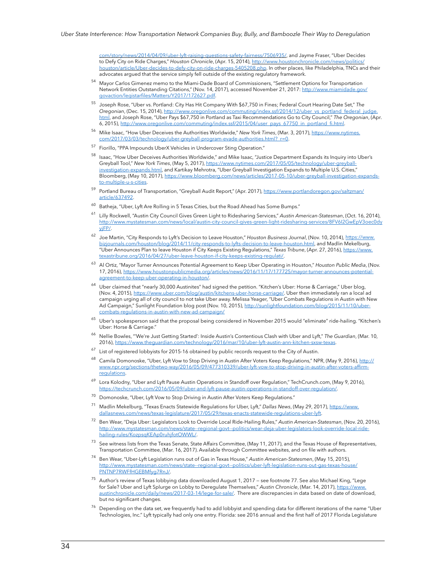[com/story/news/2014/04/09/uber-lyft-raising-questions-safety-fairness/7506935/](http://www.cincinnati.com/story/news/2014/04/09/uber-lyft-raising-questions-safety-fairness/7506935/), and Jayme Fraser, "Uber Decides to Defy City on Ride Charges," *Houston Chronicle*, (Apr. 15, 2014), http://www.houstonchronicle.com/news/politic [houston/article/Uber-decides-to-defy-city-on-ride-charges-5405208.php](http://www.houstonchronicle.com/news/politics/houston/article/Uber-decides-to-defy-city-on-ride-charges-5405208.php). In other places, like Philadelphia, TNCs and their advocates argued that the service simply fell outside of the existing regulatory framework.

- 54 Mayor Carlos Gimenez memo to the Miami-Dade Board of Commissioners, "Settlement Options for Transportation Network Entities Outstanding Citations," (Nov. 14, 2017), accessed November 21, 2017: [http://www.miamidade.gov/](http://www.miamidade.gov/govaction/legistarfiles/Matters/Y2017/172627.pdf) [govaction/legistarfiles/Matters/Y2017/172627.pdf.](http://www.miamidade.gov/govaction/legistarfiles/Matters/Y2017/172627.pdf)
- <sup>55</sup>Joseph Rose, "Uber vs. Portland: City Has Hit Company With \$67,750 in Fines; Federal Court Hearing Date Set," *The Oregonian*, (Dec. 15, 2014), http://www.oregonlive.com/commuting/index.ssf/2014/12/uber\_vs\_portland\_federal\_judge. html, and Joseph Rose, "Uber Pays \$67,750 in Portland as Taxi Recommendations Go to City Council," *The Oregonian*, (Apr. 6, 2015), [http://www.oregonlive.com/commuting/index.ssf/2015/04/user\\_pays\\_67750\\_in\\_portland\\_fi.html.](http://www.oregonlive.com/commuting/index.ssf/2015/04/user_pays_67750_in_portland_fi.html)
- <sup>56</sup>Mike Isaac, "How Uber Deceives the Authorities Worldwide," *New York Times*, (Mar. 3, 2017), [https://www.nytimes.](https://www.nytimes.com/2017/03/03/technology/uber-greyball-program-evade-authorities.html?_r=0) [com/2017/03/03/technology/uber-greyball-program-evade-authorities.html?\\_r=0.](https://www.nytimes.com/2017/03/03/technology/uber-greyball-program-evade-authorities.html?_r=0)
- 57 Fiorillo, "PPA Impounds UberX Vehicles in Undercover Sting Operation."
- Isaac, "How Uber Deceives Authorities Worldwide," and Mike Isaac, "Justice Department Expands its Inquiry into Uber's Greyball Tool," *New York Times*, (May 5, 2017), [https://www.nytimes.com/2017/05/05/technology/uber-greyball](https://www.nytimes.com/2017/05/05/technology/uber-greyball-investigation-expands.html)[investigation-expands.html](https://www.nytimes.com/2017/05/05/technology/uber-greyball-investigation-expands.html), and Kartikay Mehrotra, "Uber Greyball Investigation Expands to Multiple U.S. Cities," Bloomberg, (May 10, 2017), [https://www.bloomberg.com/news/articles/2017-05-10/uber-greyball-investigation-expands](https://www.bloomberg.com/news/articles/2017-05-10/uber-greyball-investigation-expands-to-multiple-u-s-cities)[to-multiple-u-s-cities](https://www.bloomberg.com/news/articles/2017-05-10/uber-greyball-investigation-expands-to-multiple-u-s-cities).
- 59 Portland Bureau of Transportation, "Greyball Audit Report," (Apr. 2017), [https://www.portlandoregon.gov/saltzman/](https://www.portlandoregon.gov/saltzman/article/637492) [article/637492](https://www.portlandoregon.gov/saltzman/article/637492).
- <sup>60</sup> Batheja, "Uber, Lyft Are Rolling in 5 Texas Cities, but the Road Ahead has Some Bumps."
- <sup>61</sup>Lilly Rockwell, "Austin City Council Gives Green Light to Ridesharing Services," *Austin American-Statesman*, (Oct. 16, 2014), [http://www.mystatesman.com/news/local/austin-city-council-gives-green-light-ridesharing-services/8FV6I2GwEpV3oec0dy](http://www.mystatesman.com/news/local/austin-city-council-gives-green-light-ridesharing-services/8FV6I2GwEpV3oec0dyyjFP/) [yjFP/.](http://www.mystatesman.com/news/local/austin-city-council-gives-green-light-ridesharing-services/8FV6I2GwEpV3oec0dyyjFP/)
- <sup>62</sup> Joe Martin, "City Responds to Lyft's Decision to Leave Houston," *Houston Business Journal*, (Nov. 10, 2014), [https://www.](https://www.bizjournals.com/houston/blog/2014/11/city-responds-to-lyfts-decision-to-leave-houston.html) [bizjournals.com/houston/blog/2014/11/city-responds-to-lyfts-decision-to-leave-houston.html,](https://www.bizjournals.com/houston/blog/2014/11/city-responds-to-lyfts-decision-to-leave-houston.html) and Madlin Mekelburg, "Uber Announces Plan to leave Houston if City Keeps Existing Regulations," *Texas Tribune*, (Apr. 27, 2016), [https://www.](https://www.texastribune.org/2016/04/27/uber-leave-houston-if-city-keeps-existing-regulati/) [texastribune.org/2016/04/27/uber-leave-houston-if-city-keeps-existing-regulati/](https://www.texastribune.org/2016/04/27/uber-leave-houston-if-city-keeps-existing-regulati/).
- <sup>63</sup> Al Ortiz, "Mayor Turner Announces Potential Agreement to Keep Uber Operating in Houston," *Houston Public Media*, (Nov. 17, 2016), [https://www.houstonpublicmedia.org/articles/news/2016/11/17/177725/mayor-turner-announces-potential](https://www.houstonpublicmedia.org/articles/news/2016/11/17/177725/mayor-turner-announces-potential-agreement-to-keep-uber-operating-in-houston/)[agreement-to-keep-uber-operating-in-houston/.](https://www.houstonpublicmedia.org/articles/news/2016/11/17/177725/mayor-turner-announces-potential-agreement-to-keep-uber-operating-in-houston/)
- $^{64}$  Uber claimed that "nearly 30,000 Austinites" had signed the petition. "Kitchen's Uber: Horse & Carriage," Uber blog, (Nov. 4, 2015), [https://www.uber.com/blog/austin/kitchens-uber-horse-carriage/.](https://www.uber.com/blog/austin/kitchens-uber-horse-carriage/) Uber then immediately ran a local ad campaign urging all of city council to not take Uber away. Melissa Yeager, "Uber Combats Regulations in Austin with New Ad Campaign," Sunlight Foundation blog post (Nov. 10, 2015), http://sunlightfoundation.com/blog/2015/11/10/ubercombats-regulations-in-austin-with-new-ad-campaign/
- $^{65}$  Uber's spokesperson said that the proposal being considered in November 2015 would "eliminate" ride-hailing. "Kitchen's Uber: Horse & Carriage."
- <sup>66</sup> Nellie Bowles, "'We're Just Getting Started': Inside Austin's Contentious Clash with Uber and Lyft," The Guardian, (Mar. 10, 2016), [https://www.theguardian.com/technology/2016/mar/10/uber-lyft-austin-ann-kitchen-sxsw-texas.](https://www.theguardian.com/technology/2016/mar/10/uber-lyft-austin-ann-kitchen-sxsw-texas)
- $67$  List of registered lobbyists for 2015-16 obtained by public records request to the City of Austin.
- Camila Domonoske, "Uber, Lyft Vow to Stop Driving in Austin After Voters Keep Regulations," NPR, (May 9, 2016), [http://](http://www.npr.org/sections/thetwo-way/2016/05/09/477310339/uber-lyft-vow-to-stop-driving-in-austin-after-voters-affirm-regulations) [www.npr.org/sections/thetwo-way/2016/05/09/477310339/uber-lyft-vow-to-stop-driving-in-austin-after-voters-affirm](http://www.npr.org/sections/thetwo-way/2016/05/09/477310339/uber-lyft-vow-to-stop-driving-in-austin-after-voters-affirm-regulations)**[regulations](http://www.npr.org/sections/thetwo-way/2016/05/09/477310339/uber-lyft-vow-to-stop-driving-in-austin-after-voters-affirm-regulations)**.
- <sup>69</sup> Lora Kolodny, "Uber and Lyft Pause Austin Operations in Standoff over Regulation," TechCrunch.com, (May 9, 2016), [https://techcrunch.com/2016/05/09/uber-and-lyft-pause-austin-operations-in-standoff-over-regulation/.](https://techcrunch.com/2016/05/09/uber-and-lyft-pause-austin-operations-in-standoff-over-regulation/)
- $70$  Domonoske, "Uber, Lyft Vow to Stop Driving in Austin After Voters Keep Regulations."
- <sup>71</sup>Madlin Mekelburg, "Texas Enacts Statewide Regulations for Uber, Lyft," *Dallas News*, (May 29, 2017), [https://www.](https://www.dallasnews.com/news/texas-legislature/2017/05/29/texas-enacts-statewide-regulations-uber-lyft) [dallasnews.com/news/texas-legislature/2017/05/29/texas-enacts-statewide-regulations-uber-lyft.](https://www.dallasnews.com/news/texas-legislature/2017/05/29/texas-enacts-statewide-regulations-uber-lyft)
- <sup>72</sup> Ben Wear, "Deja Uber: Legislators Look to Override Local Ride-Hailing Rules," Austin American-Statesman, (Nov. 20, 2016), [http://www.mystatesman.com/news/state--regional-govt--politics/wear-deja-uber-legislators-look-override-local-ride](http://www.mystatesman.com/news/state--regional-govt--politics/wear-deja-uber-legislators-look-override-local-ride-hailing-rules/KozpsqKEAp0ruhjfotOWWL/)[hailing-rules/KozpsqKEAp0ruhjfotOWWL/](http://www.mystatesman.com/news/state--regional-govt--politics/wear-deja-uber-legislators-look-override-local-ride-hailing-rules/KozpsqKEAp0ruhjfotOWWL/).
- $^{73}$  See witness lists from the Texas Senate, State Affairs Committee, (May 11, 2017), and the Texas House of Representatives, Transportation Committee, (Mar. 16, 2017). Available through Committee websites, and on file with authors.
- <sup>74</sup>Ben Wear, "Uber-Lyft Legislation runs out of Gas in Texas House," *Austin American-Statesmen*, (May 15, 2015), [http://www.mystatesman.com/news/state--regional-govt--politics/uber-lyft-legislation-runs-out-gas-texas-house/](http://www.mystatesman.com/news/state--regional-govt--politics/uber-lyft-legislation-runs-out-gas-texas-house/PNTNP7RWFfHGEBMfyg7RnJ/) [PNTNP7RWFfHGEBMfyg7RnJ/](http://www.mystatesman.com/news/state--regional-govt--politics/uber-lyft-legislation-runs-out-gas-texas-house/PNTNP7RWFfHGEBMfyg7RnJ/).
- $^{75}$  Author's review of Texas lobbying data downloaded August 1, 2017 see footnote 77. See also Michael King, "Lege for Sale? Uber and Lyft Splurge on Lobby to Deregulate Themselves," *Austin Chronicle*, (Mar. 14, 2017), [https://www.](https://www.austinchronicle.com/daily/news/2017-03-14/lege-for-sale/) [austinchronicle.com/daily/news/2017-03-14/lege-for-sale/](https://www.austinchronicle.com/daily/news/2017-03-14/lege-for-sale/). There are discrepancies in data based on date of download, but no significant changes.
- $^{76}$  Depending on the data set, we frequently had to add lobbyist and spending data for different iterations of the name "Uber Technologies, Inc." Lyft typically had only one entry. Florida: see 2016 annual and the first half of 2017 Florida Legislature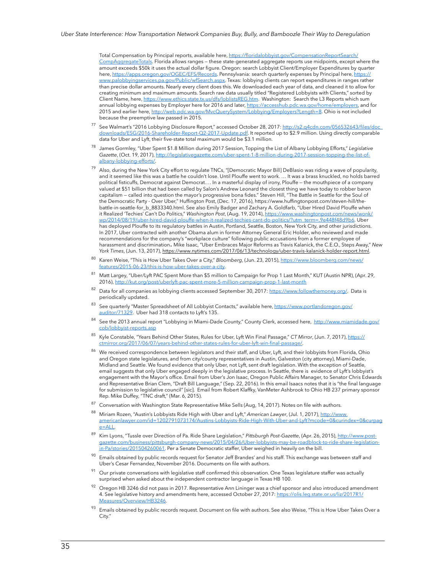Total Compensation by Principal reports, available here, [https://floridalobbyist.gov/CompensationReportSearch/](https://floridalobbyist.gov/CompensationReportSearch/CompAggregateTotals) [CompAggregateTotals](https://floridalobbyist.gov/CompensationReportSearch/CompAggregateTotals). Florida allows ranges — these state-generated aggregate reports use midpoints, except where the amount exceeds \$50k it uses the actual dollar figure. Oregon: search Lobbyist Client/Employer Expenditures by quarter here, <https://apps.oregon.gov/OGEC/EFS/Records>. Pennsylvania: search quarterly expenses by Principal here, [https://](https://www.palobbyingservices.pa.gov/Public/wfSearch.aspx) [www.palobbyingservices.pa.gov/Public/wfSearch.aspx](https://www.palobbyingservices.pa.gov/Public/wfSearch.aspx). Texas: lobbying clients can report expenditures in ranges rather than precise dollar amounts. Nearly every client does this. We downloaded each year of data, and cleaned it to allow for creating minimum and maximum amounts. Search raw data usually titled "Registered Lobbyists with Clients," sorted by Client Name, here, <https://www.ethics.state.tx.us/dfs/loblistsREG.htm>. Washington: Search the L3 Reports which sum annual lobbying expenses by Employer here for 2016 and later, <https://accesshub.pdc.wa.gov/home/employers>, and for 2015 and earlier here, [http://web.pdc.wa.gov/MvcQuerySystem/Lobbying/Employers?Length=8.](http://web.pdc.wa.gov/MvcQuerySystem/Lobbying/Employers?Length=8) Ohio is not included because the preemptive law passed in 2015.

- 77 See Walmart's "2016 Lobbying Disclosure Report," accessed October 28, 2017: http://s2.q4cdn.com/056532643/files/doc [downloads/ESG/2016-Shareholder-Report-Q2-2017-Update.pdf.](http://s2.q4cdn.com/056532643/files/doc_downloads/ESG/2016-Shareholder-Report-Q2-2017-Update.pdf) It reported up to \$2.9 million. Using directly comparable data for Uber and Lyft, their five-state total maximum would be \$3.1 million.
- <sup>78</sup> James Gormley, "Uber Spent \$1.8 Million during 2017 Session, Topping the List of Albany Lobbying Efforts," Legislative *Gazette*, (Oct. 19, 2017), [http://legislativegazette.com/uber-spent-1-8-million-during-2017-session-topping-the-list-of](http://legislativegazette.com/uber-spent-1-8-million-during-2017-session-topping-the-list-of-albany-lobbying-efforts/)[albany-lobbying-efforts/.](http://legislativegazette.com/uber-spent-1-8-million-during-2017-session-topping-the-list-of-albany-lobbying-efforts/)
- $^{79}$  Also, during the New York City effort to regulate TNCs, "[Democratic Mayor Bill] DeBlasio was riding a wave of popularity, and it seemed like this was a battle he couldn't lose. Until Plouffe went to work. … It was a brass knuckled, no holds barred political fisticuffs, Democrat against Democrat.… In a masterful display of irony, Plouffe — the mouthpiece of a company valued at \$51 billion that had been called by Salon's Andrew Leonard the closest thing we have today to robber baron capitalism — called into question the mayor's progressive bona fides." Steven Hill, "The Battle in Seattle for the Soul of the Democratic Party - Over Uber," Huffington Post, (Dec. 17, 2016), https://www.huffingtonpost.com/steven-hill/thebattle-in-seattle-for\_b\_8833340.html. See also Emily Badger and Zachary A. Goldfarb, "Uber Hired David Plouffe when it Realized 'Techies' Can't Do Politics," *Washington Post*, (Aug. 19, 2014), [https://www.washingtonpost.com/news/wonk/](https://www.washingtonpost.com/news/wonk/wp/2014/08/19/uber-hired-david-plouffe-when-it-realized-techies-cant-do-politics/?utm_term=.9e448f48d9b6) [wp/2014/08/19/uber-hired-david-plouffe-when-it-realized-techies-cant-do-politics/?utm\\_term=.9e448f48d9b6.](https://www.washingtonpost.com/news/wonk/wp/2014/08/19/uber-hired-david-plouffe-when-it-realized-techies-cant-do-politics/?utm_term=.9e448f48d9b6) Uber has deployed Plouffe to its regulatory battles in Austin, Portland, Seattle, Boston, New York City, and other jurisdictions. In 2017, Uber contracted with another Obama alum in former Attorney General Eric Holder, who reviewed and made recommendations for the company's "workplace culture" following public accusations from a former employee of harassment and discrimination. Mike Isaac, "Uber Embraces Major Reforms as Travis Kalanick, the C.E.O., Steps Away," *New York Times*, (Jun. 13, 2017),<https://www.nytimes.com/2017/06/13/technology/uber-travis-kalanick-holder-report.html>.
- Karen Weise, "This is How Uber Takes Over a City," Bloomberg, (Jun. 23, 2015), [https://www.bloomberg.com/news/](https://www.bloomberg.com/news/features/2015-06-23/this-is-how-uber-takes-over-a-city) [features/2015-06-23/this-is-how-uber-takes-over-a-city.](https://www.bloomberg.com/news/features/2015-06-23/this-is-how-uber-takes-over-a-city)
- 81 Matt Largey, "Uber/Lyft PAC Spent More than \$5 million to Campaign for Prop 1 Last Month," KUT (Austin NPR), (Apr. 29, 2016), <http://kut.org/post/uberlyft-pac-spent-more-5-million-campaign-prop-1-last-month>
- 82 Data for all companies as lobbying clients accessed September 30, 2017: [https://www.followthemoney.org/.](https://www.followthemoney.org/) Data is periodically updated.
- 83 See quarterly "Master Spreadsheet of All Lobbyist Contacts," available here, [https://www.portlandoregon.gov/](https://www.portlandoregon.gov/auditor/71329) [auditor/71329.](https://www.portlandoregon.gov/auditor/71329) Uber had 318 contacts to Lyft's 135.
- 84 See the 2013 annual report "Lobbying in Miami-Dade County," County Clerk, accessed here, [http://www.miamidade.gov/](http://www.miamidade.gov/cob/lobbyist-reports.asp) [cob/lobbyist-reports.asp](http://www.miamidade.gov/cob/lobbyist-reports.asp)
- <sup>85</sup>Kyle Constable, "Years Behind Other States, Rules for Uber, Lyft Win Final Passage," *CT Mirror*, (Jun. 7, 2017), [https://](https://ctmirror.org/2017/06/07/years-behind-other-states-rules-for-uber-lyft-win-final-passage/) [ctmirror.org/2017/06/07/years-behind-other-states-rules-for-uber-lyft-win-final-passage/.](https://ctmirror.org/2017/06/07/years-behind-other-states-rules-for-uber-lyft-win-final-passage/)
- We received correspondence between legislators and their staff, and Uber, Lyft, and their lobbyists from Florida, Ohio and Oregon state legislatures, and from city/county representatives in Austin, Galveston (city attorney), Miami-Dade, Midland and Seattle. We found evidence that only Uber, not Lyft, sent draft legislation. With the exception of Seattle, email suggests that only Uber engaged deeply in the legislative process. In Seattle, there is evidence of Lyft's lobbyist's engagement with the Mayor's office. Email from Uber's Jon Isaac, Oregon Public Affairs Manager, to Senator Chris Edwards and Representative Brian Clem, "Draft Bill Language," (Sep. 22, 2016). In this email Isaacs notes that it is "the final language for submission to legislative council" [sic]. Email from Robert Klaffky, VanMeter Ashbrook to Ohio HB 237 primary sponsor Rep. Mike Duffey, "TNC draft," (Mar. 6, 2015).
- <sup>87</sup> Conversation with Washington State Representative Mike Sells (Aug, 14, 2017). Notes on file with authors.
- <sup>88</sup>Miriam Rozen, "Austin's Lobbyists Ride High with Uber and Lyft," *American Lawyer*, (Jul. 1, 2017), [http://www.](http://www.americanlawyer.com/id=1202791073174/Austins-Lobbyists-Ride-High-With-Uber-and-Lyft?mcode=0&curindex=0&curpage=ALL) [americanlawyer.com/id=1202791073174/Austins-Lobbyists-Ride-High-With-Uber-and-Lyft?mcode=0&curindex=0&curpag](http://www.americanlawyer.com/id=1202791073174/Austins-Lobbyists-Ride-High-With-Uber-and-Lyft?mcode=0&curindex=0&curpage=ALL) [e=ALL.](http://www.americanlawyer.com/id=1202791073174/Austins-Lobbyists-Ride-High-With-Uber-and-Lyft?mcode=0&curindex=0&curpage=ALL)
- <sup>89</sup>Kim Lyons, "Tussle over Direction of Pa. Ride Share Legislation," *Pittsburgh Post-Gazette*, (Apr. 26, 2015), [http://www.post](http://www.post-gazette.com/business/pittsburgh-company-news/2015/04/26/Uber-lobbyists-may-be-roadblock-to-ride-share-legislation-in-Pa/stories/201504260061)[gazette.com/business/pittsburgh-company-news/2015/04/26/Uber-lobbyists-may-be-roadblock-to-ride-share-legislation](http://www.post-gazette.com/business/pittsburgh-company-news/2015/04/26/Uber-lobbyists-may-be-roadblock-to-ride-share-legislation-in-Pa/stories/201504260061)[in-Pa/stories/201504260061](http://www.post-gazette.com/business/pittsburgh-company-news/2015/04/26/Uber-lobbyists-may-be-roadblock-to-ride-share-legislation-in-Pa/stories/201504260061). Per a Senate Democratic staffer, Uber weighed in heavily on the bill.
- Emails obtained by public records request for Senator Jeff Brandes' and his staff. This exchange was between staff and Uber's Cesar Fernandez, November 2016. Documents on file with authors.
- <sup>91</sup>Our private conversations with legislative staff confirmed this observation. One Texas legislature staffer was actually surprised when asked about the independent contractor language in Texas HB 100.
- Oregon HB 3246 did not pass in 2017. Representative Ann Lininger was a chief sponsor and also introduced amendment 4. See legislative history and amendments here, accessed October 27, 2017: [https://olis.leg.state.or.us/liz/2017R1/](https://olis.leg.state.or.us/liz/2017R1/Measures/Overview/HB3246) es/Overview/HB3246
- <sup>93</sup> Emails obtained by public records request. Document on file with authors. See also Weise, "This is How Uber Takes Over a City."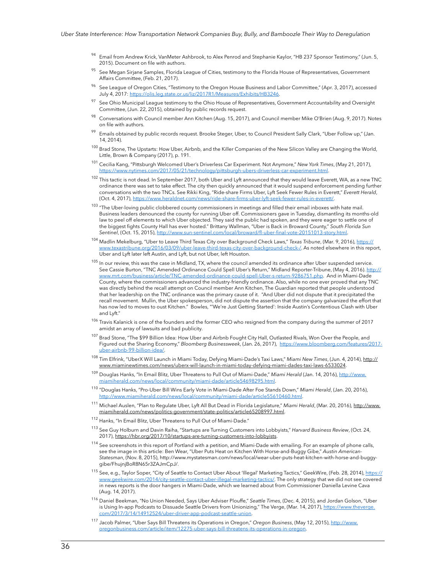- Email from Andrew Krick, VanMeter Ashbrook, to Alex Penrod and Stephanie Kaylor, "HB 237 Sponsor Testimony," (Jun. 5, 2015). Document on file with authors.
- See Megan Sirjane Samples, Florida League of Cities, testimony to the Florida House of Representatives, Government Affairs Committee, (Feb. 21, 2017).
- See League of Oregon Cities, "Testimony to the Oregon House Business and Labor Committee," (Apr. 3, 2017), accessed July 4, 2017: [https://olis.leg.state.or.us/liz/2017R1/Measures/Exhibits/HB3246.](https://olis.leg.state.or.us/liz/2017R1/Measures/Exhibits/HB3246)
- <sup>97</sup> See Ohio Municipal League testimony to the Ohio House of Representatives, Government Accountability and Oversight Committee, (Jun. 22, 2015), obtained by public records request.
- 98 Conversations with Council member Ann Kitchen (Aug. 15, 2017), and Council member Mike O'Brien (Aug. 9, 2017). Notes on file with authors.
- 99 Emails obtained by public records request. Brooke Steger, Uber, to Council President Sally Clark, "Uber Follow up," (Jan. 14, 2014).
- $100$  Brad Stone, The Upstarts: How Uber, Airbnb, and the Killer Companies of the New Silicon Valley are Changing the World, Little, Brown & Company (2017), p. 191.
- <sup>101</sup>Cecilia Kang, "Pittsburgh Welcomed Uber's Driverless Car Experiment. Not Anymore," *New York Times*, (May 21, 2017), [https://www.nytimes.com/2017/05/21/technology/pittsburgh-ubers-driverless-car-experiment.html.](https://www.nytimes.com/2017/05/21/technology/pittsburgh-ubers-driverless-car-experiment.html)
- $102$  This tactic is not dead. In September 2017, both Uber and Lyft announced that they would leave Everett, WA, as a new TNC ordinance there was set to take effect. The city then quickly announced that it would suspend enforcement pending further conversations with the two TNCs. See Rikki King, "Ride-share Firms Uber, Lyft Seek Fewer Rules in Everett," *Everett Herald*, (Oct. 4, 2017), https://www.heraldnet.com/news/ride-share-firms-uber-lyft-seek-fev
- <sup>103</sup> "The Uber-loving public clobbered county commissioners in meetings and filled their email inboxes with hate mail. Business leaders denounced the county for running Uber off. Commissioners gave in Tuesday, dismantling its months-old law to peel off elements to which Uber objected. They said the public had spoken, and they were eager to settle one of the biggest fights County Hall has ever hosted." Brittany Wallman, "Uber is Back in Broward County," *South Florida Sun Sentinel*, (Oct. 15, 2015), [http://www.sun-sentinel.com/local/broward/fl-uber-final-vote-20151013-story.html.](http://www.sun-sentinel.com/local/broward/fl-uber-final-vote-20151013-story.html)
- <sup>104</sup> Madlin Mekelburg, "Uber to Leave Third Texas City over Background Check Laws," *Texas Tribune*, (Mar. 9, 2016)[, https://](https://www.texastribune.org/2016/03/09/uber-leave-third-texas-city-over-background-check-/) [www.texastribune.org/2016/03/09/uber-leave-third-texas-city-over-background-check-/](https://www.texastribune.org/2016/03/09/uber-leave-third-texas-city-over-background-check-/). As noted elsewhere in this report, Uber and Lyft later left Austin, and Lyft, but not Uber, left Houston.
- $105$  In our review, this was the case in Midland, TX, where the council amended its ordinance after Uber suspended service. See Cassie Burton, "TNC Amended Ordinance Could Spell Uber's Return," Midland Reporter-Tribune, (May 4, 2016)[. http://](http://www.mrt.com/business/article/TNC-amended-ordinance-could-spell-Uber-s-return-9286751.php) [www.mrt.com/business/article/TNC-amended-ordinance-could-spell-Uber-s-return-9286751.php.](http://www.mrt.com/business/article/TNC-amended-ordinance-could-spell-Uber-s-return-9286751.php) And in Miami-Dade County, where the commissioners advanced the industry-friendly ordinance. Also, while no one ever proved that any TNC was directly behind the recall attempt on Council member Ann Kitchen, The Guardian reported that people understood that her leadership on the TNC ordinance was the primary cause of it. "And Uber did not dispute that it precipitated the recall movement. Mullin, the Uber spokesperson, did not dispute the assertion that the company galvanized the effort that has now led to moves to oust Kitchen." Bowles, "'We're Just Getting Started': Inside Austin's Contentious Clash with Uber and Lyft."
- <sup>106</sup> Travis Kalanick is one of the founders and the former CEO who resigned from the company during the summer of 2017 amidst an array of lawsuits and bad publicity.
- <sup>107</sup> Brad Stone, "The \$99 Billion Idea: How Uber and Airbnb Fought City Hall, Outlasted Rivals, Won Over the People, and Figured out the Sharing Economy," *Bloomberg Businessweek*, (Jan. 26, 2017), [https://www.bloomberg.com/features/2017](https://www.bloomberg.com/features/2017-uber-airbnb-99-billion-idea/) [uber-airbnb-99-billion-idea/](https://www.bloomberg.com/features/2017-uber-airbnb-99-billion-idea/).
- <sup>108</sup>Tim Elfrink, "UberX Will Launch in Miami Today, Defying Miami-Dade's Taxi Laws," *Miami New Times*, (Jun. 4, 2014)[, http://](http://www.miaminewtimes.com/news/uberx-will-launch-in-miami-today-defying-miami-dades-taxi-laws-6533024) [www.miaminewtimes.com/news/uberx-will-launch-in-miami-today-defying-miami-dades-taxi-laws-6533024.](http://www.miaminewtimes.com/news/uberx-will-launch-in-miami-today-defying-miami-dades-taxi-laws-6533024)
- <sup>109</sup>Douglas Hanks, "In Email Blitz, Uber Threatens to Pull Out of Miami-Dade," *Miami Herald* (Jan. 14, 2016), [http://www.](http://www.miamiherald.com/news/local/community/miami-dade/article54698295.html) [miamiherald.com/news/local/community/miami-dade/article54698295.html](http://www.miamiherald.com/news/local/community/miami-dade/article54698295.html).
- <sup>110</sup>"Douglas Hanks, "Pro-Uber Bill Wins Early Vote in Miami-Dade After Foe Stands Down," *Miami Herald*, (Jan. 20, 2016), [http://www.miamiherald.com/news/local/community/miami-dade/article55610460.html.](http://www.miamiherald.com/news/local/community/miami-dade/article55610460.html)
- <sup>111</sup> Michael Auslen, "Plan to Regulate Uber, Lyft All But Dead in Florida Legislature," *Miami Herald*, (Mar. 20, 2016), [http://www.](http://www.miamiherald.com/news/politics-government/state-politics/article65208997.html) [miamiherald.com/news/politics-government/state-politics/article65208997.html](http://www.miamiherald.com/news/politics-government/state-politics/article65208997.html).
- $112$  Hanks, "In Email Blitz, Uber Threatens to Pull Out of Miami-Dade."
- <sup>113</sup> See Guy Holburn and Davin Raiha, "Startups are Turning Customers into Lobbyists," *Harvard Business Review*, (Oct. 24, 2017), <https://hbr.org/2017/10/startups-are-turning-customers-into-lobbyists>.
- <sup>114</sup> See screenshots in this report of Portland with a petition, and Miami-Dade with emailing. For an example of phone calls, see the image in this article: Ben Wear, "Uber Puts Heat on Kitchen With Horse-and-Buggy Gibe," *Austin American-Statesman*, (Nov. 8, 2015), http://www.mystatesman.com/news/local/wear-uber-puts-heat-kitchen-with-horse-and-buggygibe/FhujnjBoR8N65r3ZAJmCpJ/.
- <sup>115</sup> See, e.g., Taylor Soper, "City of Seattle to Contact Uber About 'Illegal' Marketing Tactics," GeekWire, (Feb. 28, 2014), <u>https://</u> [www.geekwire.com/2014/city-seattle-contact-uber-illegal-marketing-tactics/.](https://www.geekwire.com/2014/city-seattle-contact-uber-illegal-marketing-tactics/) The only strategy that we did not see covered in news reports is the door hangers in Miami-Dade, which we learned about from Commissioner Daniella Levine Cava (Aug. 14, 2017).
- <sup>116</sup> Daniel Beekman, "No Union Needed, Says Uber Adviser Plouffe," Seattle Times, (Dec. 4, 2015), and Jordan Golson, "Uber is Using In-app Podcasts to Dissuade Seattle Drivers from Unionizing," The Verge, (Mar. 14, 2017), [https://www.theverge.](https://www.theverge.com/2017/3/14/14912524/uber-driver-app-podcast-seattle-union) [com/2017/3/14/14912524/uber-driver-app-podcast-seattle-union.](https://www.theverge.com/2017/3/14/14912524/uber-driver-app-podcast-seattle-union)
- <sup>117</sup>Jacob Palmer, "Uber Says Bill Threatens its Operations in Oregon," *Oregon Business*, (May 12, 2015), [http://www.](http://www.oregonbusiness.com/article/item/12275-uber-says-bill-threatens-its-operations-in-oregon) [oregonbusiness.com/article/item/12275-uber-says-bill-threatens-its-operations-in-oregon.](http://www.oregonbusiness.com/article/item/12275-uber-says-bill-threatens-its-operations-in-oregon)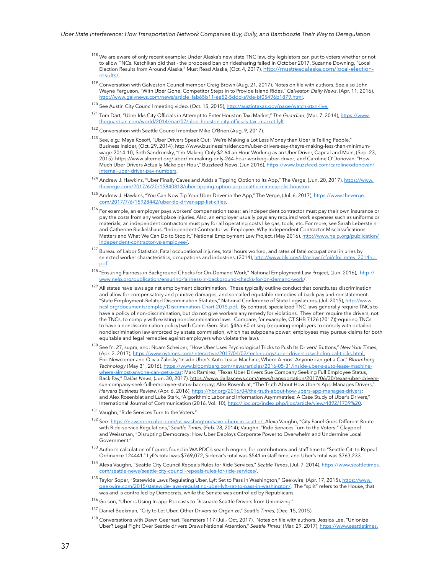- <sup>118</sup> We are aware of only recent example: Under Alaska's new state TNC law, city legislators can put to voters whether or not to allow TNCs. Ketchikan did that - the proposed ban on ridesharing failed in October 2017. Suzanne Downing, "Local Election Results from Around Alaska," Must Read Alaska, (Oct. 4, 2017), [http://mustreadalaska.com/local-election](http://mustreadalaska.com/local-election-results/)[results/.](http://mustreadalaska.com/local-election-results/)
- <sup>119</sup> Conversation with Galveston Council member Craig Brown (Aug. 21, 2017). Notes on file with authors. See also John Wayne Ferguson, "With Uber Gone, Competitor Steps in to Provide Island Rides," *Galveston Daily News*, (Apr. 11, 2016), [http://www.galvnews.com/news/article\\_fab65b11-ee52-5ddd-a9de-bf05496b1879.html.](http://www.galvnews.com/news/article_fab65b11-ee52-5ddd-a9de-bf05496b1879.html)
- <sup>120</sup> See Austin City Council meeting video, (Oct. 15, 2015), <http://austintexas.gov/page/watch-atxn-live>.
- <sup>121</sup> Tom Dart, "Uber Irks City Officials in Attempt to Enter Houston Taxi Market," The Guardian, (Mar. 7, 2014), https://www. theguardian.com/world/2014/mar/07/uber-houston-city-officials-taxi-market-lyft.
- 122 Conversation with Seattle Council member Mike O'Brien (Aug. 9, 2017).
- 123 See, e.g.: Maya Kosoff, "Uber Drivers Speak Out: We're Making a Lot Less Money than Uber is Telling People," Business Insider, (Oct. 29, 2014), [http://www.businessinsider.com/uber-drivers-say-theyre-making-less-than-minimum](http://www.businessinsider.com/uber-drivers-say-theyre-making-less-than-minimum-wage-2014-10)[wage-2014-10](http://www.businessinsider.com/uber-drivers-say-theyre-making-less-than-minimum-wage-2014-10); Seth Sandronsky, "I'm Making Only \$2.64 an Hour Working as an Uber Driver, Capital and Main, (Sep. 23, 2015), [https://www.alternet.org/labor/im-making-only-264-hour-working-uber-driver;](https://www.alternet.org/labor/im-making-only-264-hour-working-uber-driver) and Caroline O'Donovan, "How Much Uber Drivers Actually Make per Hour," Buzzfeed News, (Jun 2016), [https://www.buzzfeed.com/carolineodonovan/](https://www.buzzfeed.com/carolineodonovan/internal-uber-driver-pay-numbers?utm_term=.uvYzxzJ0P#.xdZXJXk92) [internal-uber-driver-pay-numbers](https://www.buzzfeed.com/carolineodonovan/internal-uber-driver-pay-numbers?utm_term=.uvYzxzJ0P#.xdZXJXk92).
- <sup>124</sup> Andrew J. Hawkins, "Uber Finally Caves and Adds a Tipping Option to its App," The Verge, (Jun. 20, 2017), [https://www.](https://www.theverge.com/2017/6/20/15840818/uber-tipping-option-app-seattle-minneapolis-houston) [theverge.com/2017/6/20/15840818/uber-tipping-option-app-seattle-minneapolis-houston](https://www.theverge.com/2017/6/20/15840818/uber-tipping-option-app-seattle-minneapolis-houston).
- 125 Andrew J. Hawkins, "You Can Now Tip Your Uber Driver in the App," The Verge, (Jul. 6, 2017), [https://www.theverge.](https://www.theverge.com/2017/7/6/15928442/uber-tip-driver-app-list-cities) [com/2017/7/6/15928442/uber-tip-driver-app-list-cities.](https://www.theverge.com/2017/7/6/15928442/uber-tip-driver-app-list-cities)
- <sup>126</sup> For example, an employer pays workers' compensation taxes; an independent contractor must pay their own insurance or pay the costs from any workplace injuries. Also, an employer usually pays any required work expenses such as uniforms or materials; an independent contractors must pay for all operating costs like gas, tools, etc. For more, see Sarah Leberstein and Catherine Ruckelshaus, "Independent Contractor vs. Employee: Why Independent Contractor Misclassifications Matters and What We Can Do to Stop it," National Employment Law Project, (May 2016), [http://www.nelp.org/publication/](http://www.nelp.org/publication/independent-contractor-vs-employee/) [independent-contractor-vs-employee/](http://www.nelp.org/publication/independent-contractor-vs-employee/).
- $127$  Bureau of Labor Statistics, Fatal occupational injuries, total hours worked, and rates of fatal occupational injuries by selected worker characteristics, occupations and industries, (2014), http://www.bls.gov/iif/oshwc/cfoi/cfoi\_rates\_2014hb. pdf.
- <sup>128</sup> "Ensuring Fairness in Background Checks for On-Demand Work," National Employment Law Project, (Jun. 2016), [http://](http://www.nelp.org/publication/ensuring-fairness-in-background-checks-for-on-demand-work/) [www.nelp.org/publication/ensuring-fairness-in-background-checks-for-on-demand-work/](http://www.nelp.org/publication/ensuring-fairness-in-background-checks-for-on-demand-work/).
- $129$  All states have laws against employment discrimination. These typically outline conduct that constitutes discrimination and allow for compensatory and punitive damages, and so-called equitable remedies of back pay and reinstatement. "State Employment-Related Discrimination Statutes," National Conference of State Legislatures, (Jul. 2015), [http://www.](http://www.ncsl.org/documents/employ/Discrimination-Chart-2015.pdf) [ncsl.org/documents/employ/Discrimination-Chart-2015.pdf](http://www.ncsl.org/documents/employ/Discrimination-Chart-2015.pdf). By contrast, specialized TNC laws generally require TNCs to have a policy of non-discrimination, but do not give workers any remedy for violations. They often require the drivers, not the TNCs, to comply with existing nondiscrimination laws. Compare, for example, CT SHB 7126 (2017)(requiring TNCs to have a nondiscrimination policy) with Conn. Gen. Stat. §46a-60 et.seq. (requiring employers to comply with detailed nondiscrimination law enforced by a state commission, which has subpoena power; employees may pursue claims for both equitable and legal remedies against employers who violate the law).
- 130 See fn. 27, supra, and: Noam Scheiber, "How Uber Uses Psychological Tricks to Push Its Drivers' Buttons," New York Times, (Apr. 2, 2017),<https://www.nytimes.com/interactive/2017/04/02/technology/uber-drivers-psychological-tricks.html>; Eric Newcomer and Olivia Zalesky,"Inside Uber's Auto-Lease Machine, Where Almost Anyone can get a Car," *Bloomberg Technology* (May 31, 2016), [https://www.bloomberg.com/news/articles/2016-05-31/inside-uber-s-auto-lease-machine](https://www.bloomberg.com/news/articles/2016-05-31/inside-uber-s-auto-lease-machine-where-almost-anyone-can-get-a-car)<u>[where-almost-anyone-can-get-a-car](https://www.bloomberg.com/news/articles/2016-05-31/inside-uber-s-auto-lease-machine-where-almost-anyone-can-get-a-car)</u>; Marc Ramirez, "Texas Uber Drivers Sue Company Seeking Full Employee Status, Back Pay," *Dallas News*, (Jun. 30, 2017), [https://www.dallasnews.com/news/transportation/2017/06/30/texas-uber-drivers](https://www.dallasnews.com/news/transportation/2017/06/30/texas-uber-drivers-sue-company-seek-full-employee-status-back-pay)[sue-company-seek-full-employee-status-back-pay;](https://www.dallasnews.com/news/transportation/2017/06/30/texas-uber-drivers-sue-company-seek-full-employee-status-back-pay) Alex Rosenblat, "The Truth About How Uber's App Manages Drivers," *Harvard Business Review*, (Apr. 6, 2016), <https://hbr.org/2016/04/the-truth-about-how-ubers-app-manages-drivers>; and Alex Rosenblat and Luke Stark, "Algorithmic Labor and Information Asymmetries: A Case Study of Uber's Drivers," International Journal of Communication (2016, Vol. 10), [http://ijoc.org/index.php/ijoc/article/view/4892/1739%20.](http://ijoc.org/index.php/ijoc/article/view/4892/1739 )
- 131 Vaughn, "Ride Services Turn to the Voters."
- <sup>132</sup> See: <u>[https://newsroom.uber.com/us-washington/save-uberx-in-seattle/; A](https://newsroom.uber.com/us-washington/save-uberx-in-seattle/)</u>lexa Vaughn, "City Panel Goes Different Route with Ride-service Regulations," *Seattle Times*, (Feb. 28, 2014); Vaughn, "Ride Services Turn to the Voters;" Claypool and Weissman, "Disrupting Democracy: How Uber Deploys Corporate Power to Overwhelm and Undermine Local Government."
- 133 Author's calculation of figures found in WA PDC's search engine, for contributions and staff time to "Seattle Cit. to Repeal Ordinance 124441." Lyft's total was \$769,072, Sidecar's total was \$541 in staff time, and Uber's total was \$763,233.
- <sup>134</sup>Alexa Vaughn, "Seattle City Council Repeals Rules for Ride Services," *Seattle Times*, (Jul. 7, 2014), [https://www.seattletimes.](https://www.seattletimes.com/seattle-news/seattle-city-council-repeals-rules-for-ride-services/) [com/seattle-news/seattle-city-council-repeals-rules-for-ride-services/](https://www.seattletimes.com/seattle-news/seattle-city-council-repeals-rules-for-ride-services/).
- 135 Taylor Soper, "Statewide Laws Regulating Uber, Lyft Set to Pass in Washington," Geekwire, (Apr. 17, 2015), [https://www.](https://www.geekwire.com/2015/statewide-laws-regulating-uber-lyft-set-to-pass-in-washington/) [geekwire.com/2015/statewide-laws-regulating-uber-lyft-set-to-pass-in-washington/.](https://www.geekwire.com/2015/statewide-laws-regulating-uber-lyft-set-to-pass-in-washington/) The "split" refers to the House, that was and is controlled by Democrats, while the Senate was controlled by Republicans.
- 136 Golson, "Uber is Using In-app Podcasts to Dissuade Seattle Drivers from Unionizing."
- 137 Daniel Beekman, "City to Let Uber, Other Drivers to Organize," Seattle Times, (Dec. 15, 2015).
- <sup>138</sup> Conversations with Dawn Gearhart, Teamsters 117 (Jul.- Oct. 2017). Notes on file with authors. Jessica Lee, "Unionize Uber? Legal Fight Over Seattle drivers Draws National Attention," *Seattle Times*, (Mar. 29, 2017), [https://www.seattletimes.](https://www.seattletimes.com/seattle-news/transportation/unionize-uber-legal-fight-over-seattle-drivers-draws-national-attention/)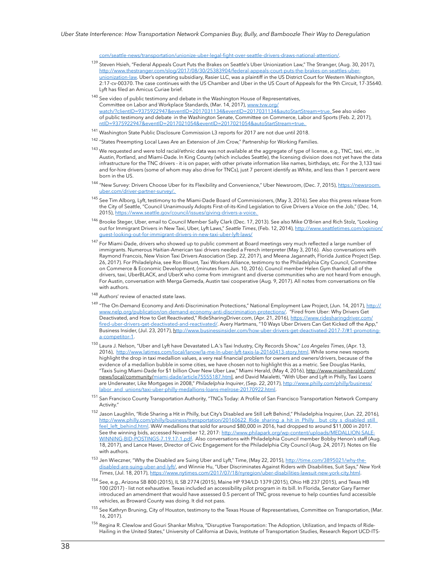[com/seattle-news/transportation/unionize-uber-legal-fight-over-seattle-drivers-draws-national-attention/.](https://www.seattletimes.com/seattle-news/transportation/unionize-uber-legal-fight-over-seattle-drivers-draws-national-attention/)

- <sup>139</sup> Steven Hsieh, "Federal Appeals Court Puts the Brakes on Seattle's Uber Unionization Law," The Stranger, (Aug. 30, 2017), [http://www.thestranger.com/slog/2017/08/30/25383904/federal-appeals-court-puts-the-brakes-on-seattles-uber](http://www.thestranger.com/slog/2017/08/30/25383904/federal-appeals-court-puts-the-brakes-on-seattles-uber-unionization-law)[unionization-law](http://www.thestranger.com/slog/2017/08/30/25383904/federal-appeals-court-puts-the-brakes-on-seattles-uber-unionization-law). Uber's operating subsidiary, Rasier LLC, was a plaintiff in the US District Court for Western Washington, 2:17-cv-00370. The case continues with the US Chamber and Uber in the US Court of Appeals for the 9th Circuit, 17-35640. Lyft has filed an Amicus Curiae brief.
- $140$  See video of public testimony and debate in the Washington House of Representatives, Committee on Labor and Workplace Standards, (Mar. 14, 2017), [www.tvw.org/](http://www.tvw.org/watch/?clientID=9375922947&eventID=2017031134&eventID=2017031134&autoStartStream=true) [watch/?clientID=9375922947&eventID=2017031134&eventID=2017031134&autoStartStream=true.](http://www.tvw.org/watch/?clientID=9375922947&eventID=2017031134&eventID=2017031134&autoStartStream=true) See also video of public testimony and debate in the Washington Senate, Committee on Commerce, Labor and Sports (Feb. 2, 2017), [ntID=9375922947&eventID=2017021054&eventID=2017021054&autoStartStream=true](http://www.tvw.org/watch/?clientID=9375922947&eventID=2017021054&eventID=2017021054&autoStartStream=true).
- <sup>141</sup> Washington State Public Disclosure Commission L3 reports for 2017 are not due until 2018.
- <sup>142</sup> "States Preempting Local Laws Are an Extension of Jim Crow," Partnership for Working Families.
- <sup>143</sup> We requested and were told racial/ethnic data was not available at the aggregate of type of license, e.g., TNC, taxi, etc., in Austin, Portland, and Miami-Dade. In King County (which includes Seattle), the licensing division does not yet have the data infrastructure for the TNC drivers - it is on paper, with other private information like names, birthdays, etc. For the 3,133 taxi and for-hire drivers (some of whom may also drive for TNCs), just 7 percent identify as White, and less than 1 percent were born in the US.
- <sup>144</sup> "New Survey: Drivers Choose Uber for its Flexibility and Convenience," Uber Newsroom, (Dec. 7, 2015), [https://newsroom.](https://newsroom.uber.com/driver-partner-survey/) [uber.com/driver-partner-survey/](https://newsroom.uber.com/driver-partner-survey/).
- <sup>145</sup> See Tim Alborg, Lyft, testimony to the Miami-Dade Board of Commissioners, (May 3, 2016). See also this press release from the City of Seattle, "Council Unanimously Adopts First-of-its-Kind Legislation to Give Drivers a Voice on the Job," (Dec. 14, 2015), [https://www.seattle.gov/council/issues/giving-drivers-a-voice.](https://www.seattle.gov/council/issues/giving-drivers-a-voice)
- <sup>146</sup> Brooke Steger, Uber, email to Council Member Sally Clark (Dec. 17, 2013). See also Mike O'Brien and Rich Stolz, "Looking out for Immigrant Drivers in New Taxi, Uber, Lyft Laws," *Seattle Times*, (Feb. 12, 2014), [http://www.seattletimes.com/opinion/](http://www.seattletimes.com/opinion/guest-looking-out-for-immigrant-drivers-in-new-taxi-uber-lyft-laws/) [guest-looking-out-for-immigrant-drivers-in-new-taxi-uber-lyft-laws/](http://www.seattletimes.com/opinion/guest-looking-out-for-immigrant-drivers-in-new-taxi-uber-lyft-laws/)
- <sup>147</sup> For Miami-Dade, drivers who showed up to public comment at Board meetings very much reflected a large number of immigrants. Numerous Haitian-American taxi drivers needed a French interpreter (May 3, 2016). Also conversations with Raymond Francois, New Vision Taxi Drivers Association (Sep. 22, 2017), and Meena Jagannath, Florida Justice Project (Sep. 26, 2017). For Philadelphia, see Ron Blount, Taxi Workers Alliance, testimony to the Philadelphia City Council, Committee on Commerce & Economic Development, (minutes from Jun. 10, 2016). Council member Helen Gym thanked all of the drivers, taxi, UberBLACK, and UberX who come from immigrant and diverse communities who are not heard from enough. For Austin, conversation with Merga Gemeda, Austin taxi cooperative (Aug. 9, 2017). All notes from conversations on file with authors.
- $148$  Authors' review of enacted state laws.
- <sup>149</sup> "The On-Demand Economy and Anti-Discrimination Protections," National Employment Law Project, (Jun. 14, 2017), [http://](http://www.nelp.org/publication/on-demand-economy-anti-discrimination-protections/) [www.nelp.org/publication/on-demand-economy-anti-discrimination-protections/](http://www.nelp.org/publication/on-demand-economy-anti-discrimination-protections/). "Fired from Uber: Why Drivers Get Deactivated, and How to Get Reactivated," RideSharingDriver.com, (Apr. 21, 2016), [https://www.ridesharingdriver.com/](https://www.ridesharingdriver.com/fired-uber-drivers-get-deactivated-and-reactivated/) [fired-uber-drivers-get-deactivated-and-reactivated/.](https://www.ridesharingdriver.com/fired-uber-drivers-get-deactivated-and-reactivated/) Avery Hartmans, "10 Ways Uber Drivers Can Get Kicked off the App," Business Insider, (Jul. 23, 2017), h[ttp://www.businessinsider.com/how-uber-drivers-get-deactivated-2017-7/#1-promoting](http://www.businessinsider.com/how-uber-drivers-get-deactivated-2017-7/#1-promoting-a-competitor-1)[a-competitor-1](http://www.businessinsider.com/how-uber-drivers-get-deactivated-2017-7/#1-promoting-a-competitor-1).
- <sup>150</sup>Laura J. Nelson, "Uber and Lyft have Devastated L.A.'s Taxi Industry, City Records Show," *Los Angeles Times*, (Apr. 13, 2016), <http://www.latimes.com/local/lanow/la-me-ln-uber-lyft-taxis-la-20160413-story.html>. While some news reports highlight the drop in taxi medallion values, a very real financial problem for owners and owners/drivers, because of the evidence of a medallion bubble in some cities, we have chosen not to highlight this as a metric. See Douglas Hanks, "Taxis Suing Miami-Dade for \$1 billion Over New Uber Law," Miami Herald, (May 4, 2016), http://www.miamiherald.com/ news/local/community/miami-dade/article75555187.html, and David Maialetti, "With Uber and Lyft in Philly, Taxi Loans are Underwater, Like Mortgages in 2008," *Philadelphia Inquirer*, (Sep. 22, 2017), [http://www.philly.com/philly/business/](http://www.philly.com/philly/business/labor_and_unions/taxi-uber-philly-medallions-loans-melrose-20170922.html) [labor\\_and\\_unions/taxi-uber-philly-medallions-loans-melrose-20170922.html.](http://www.philly.com/philly/business/labor_and_unions/taxi-uber-philly-medallions-loans-melrose-20170922.html)
- <sup>151</sup> San Francisco County Transportation Authority, "TNCs Today: A Profile of San Francisco Transportation Network Company Activity."
- <sup>152</sup> Jason Laughlin, "Ride Sharing a Hit in Philly, but City's Disabled are Still Left Behind," Philadelphia Inquirer, (Jun. 22, 2016), [http://www.philly.com/philly/business/transportation/20160622\\_Ride\\_sharing\\_a\\_hit\\_in\\_Philly\\_\\_but\\_city\\_s\\_disabled\\_still\\_](http://www.philly.com/philly/business/transportation/20160622_Ride_sharing_a_hit_in_Philly__but_city_s_disabled_still_feel_left_behind.html) [feel\\_left\\_behind.htm](http://www.philly.com/philly/business/transportation/20160622_Ride_sharing_a_hit_in_Philly__but_city_s_disabled_still_feel_left_behind.html)l. WAV medallions that sold for around \$80,000 in 2016, had dropped to around \$11,000 in 2017. See the winning bids, accessed November 12, 2017: [http://www.philapark.org/wp-content/uploads/MEDALLION-SALE-](http://www.philapark.org/wp-content/uploads/MEDALLION-SALE-WINNING-BID-POSTINGS-7.19.17-1.pdf)[WINNING-BID-POSTINGS-7.19.17-1.pdf.](http://www.philapark.org/wp-content/uploads/MEDALLION-SALE-WINNING-BID-POSTINGS-7.19.17-1.pdf) Also conversations with Philadelphia Council member Bobby Henon's staff (Aug. 18, 2017), and Lance Haver, Director of Civic Engagement for the Philadelphia City Council (Aug. 24, 2017). Notes on file with authors.
- <sup>153</sup> Jen Wieczner, "Why the Disabled are Suing Uber and Lyft," Time, (May 22, 2015), [http://time.com/3895021/why-the](http://time.com/3895021/why-the-disabled-are-suing-uber-and-lyft/)[disabled-are-suing-uber-and-lyft/,](http://time.com/3895021/why-the-disabled-are-suing-uber-and-lyft/) and Winnie Hu, "Uber Discriminates Against Riders with Disabilities, Suit Says," *New York Times*, (Jul. 18, 2017), <https://www.nytimes.com/2017/07/18/nyregion/uber-disabilities-lawsuit-new-york-city.html>.
- 154 See, e.g., Arizona SB 800 (2015), IL SB 2774 (2015), Maine HP 934/LD 1379 (2015), Ohio HB 237 (2015), and Texas HB 100 (2017) - list not exhaustive. Texas included an accessibility pilot program in its bill. In Florida, Senator Gary Farmer introduced an amendment that would have assessed 0.5 percent of TNC gross revenue to help counties fund accessible vehicles, as Broward County was doing. It did not pass.
- <sup>155</sup> See Kathryn Bruning, City of Houston, testimony to the Texas House of Representatives, Committee on Transportation, (Mar. 16, 2017).
- <sup>156</sup> Regina R. Clewlow and Gouri Shankar Mishra, "Disruptive Transportation: The Adoption, Utilization, and Impacts of Ride-Hailing in the United States," University of California at Davis, Institute of Transportation Studies, Research Report UCD-ITS-